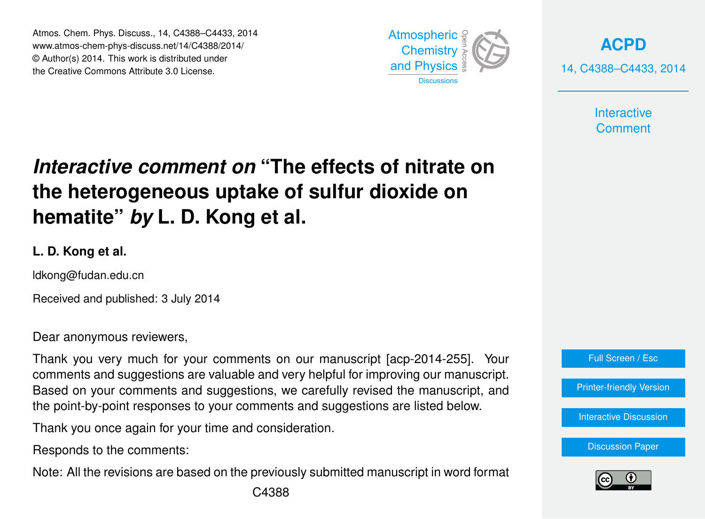Atmos. Chem. Phys. Discuss., 14, C4388–C4433, 2014 www.atmos-chem-phys-discuss.net/14/C4388/2014/ © Author(s) 2014. This work is distributed under the Creative Commons Attribute 3.0 License.



**[ACPD](http://www.atmos-chem-phys-discuss.net)** 14, C4388–C4433, 2014

> **Interactive Comment**

# *Interactive comment on* **"The effects of nitrate on the heterogeneous uptake of sulfur dioxide on hematite"** *by* **L. D. Kong et al.**

# **L. D. Kong et al.**

ldkong@fudan.edu.cn

Received and published: 3 July 2014

Dear anonymous reviewers,

Thank you very much for your comments on our manuscript [acp-2014-255]. Your comments and suggestions are valuable and very helpful for improving our manuscript. Based on your comments and suggestions, we carefully revised the manuscript, and the point-by-point responses to your comments and suggestions are listed below.

Thank you once again for your time and consideration.

Responds to the comments:

Note: All the revisions are based on the previously submitted manuscript in word format



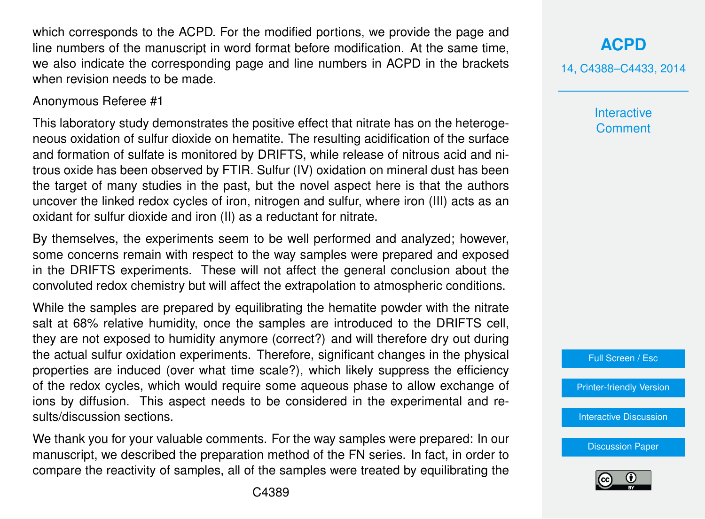which corresponds to the ACPD. For the modified portions, we provide the page and line numbers of the manuscript in word format before modification. At the same time, we also indicate the corresponding page and line numbers in ACPD in the brackets when revision needs to be made.

#### Anonymous Referee #1

This laboratory study demonstrates the positive effect that nitrate has on the heterogeneous oxidation of sulfur dioxide on hematite. The resulting acidification of the surface and formation of sulfate is monitored by DRIFTS, while release of nitrous acid and nitrous oxide has been observed by FTIR. Sulfur (IV) oxidation on mineral dust has been the target of many studies in the past, but the novel aspect here is that the authors uncover the linked redox cycles of iron, nitrogen and sulfur, where iron (III) acts as an oxidant for sulfur dioxide and iron (II) as a reductant for nitrate.

By themselves, the experiments seem to be well performed and analyzed; however, some concerns remain with respect to the way samples were prepared and exposed in the DRIFTS experiments. These will not affect the general conclusion about the convoluted redox chemistry but will affect the extrapolation to atmospheric conditions.

While the samples are prepared by equilibrating the hematite powder with the nitrate salt at 68% relative humidity, once the samples are introduced to the DRIFTS cell, they are not exposed to humidity anymore (correct?) and will therefore dry out during the actual sulfur oxidation experiments. Therefore, significant changes in the physical properties are induced (over what time scale?), which likely suppress the efficiency of the redox cycles, which would require some aqueous phase to allow exchange of ions by diffusion. This aspect needs to be considered in the experimental and results/discussion sections.

We thank you for your valuable comments. For the way samples were prepared: In our manuscript, we described the preparation method of the FN series. In fact, in order to compare the reactivity of samples, all of the samples were treated by equilibrating the 14, C4388–C4433, 2014

**Interactive Comment** 



[Printer-friendly Version](http://www.atmos-chem-phys-discuss.net/14/C4388/2014/acpd-14-C4388-2014-print.pdf)

[Interactive Discussion](http://www.atmos-chem-phys-discuss.net/14/11577/2014/acpd-14-11577-2014-discussion.html)

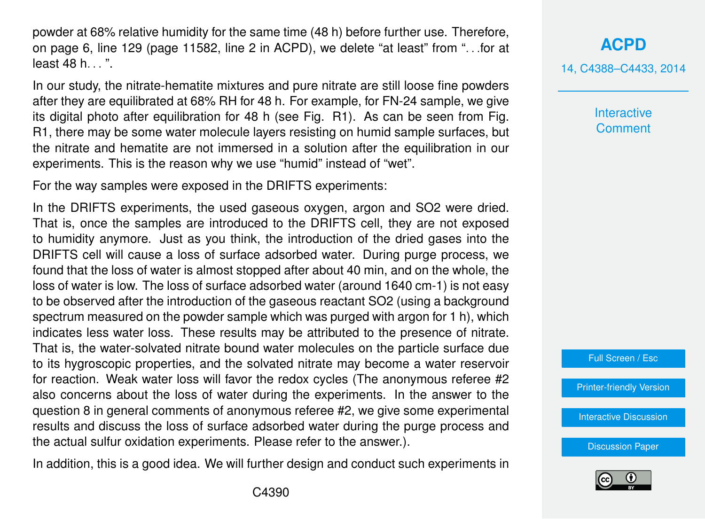powder at 68% relative humidity for the same time (48 h) before further use. Therefore, on page 6, line 129 (page 11582, line 2 in ACPD), we delete "at least" from ". . .for at least 48 h...".

In our study, the nitrate-hematite mixtures and pure nitrate are still loose fine powders after they are equilibrated at 68% RH for 48 h. For example, for FN-24 sample, we give its digital photo after equilibration for 48 h (see Fig. R1). As can be seen from Fig. R1, there may be some water molecule layers resisting on humid sample surfaces, but the nitrate and hematite are not immersed in a solution after the equilibration in our experiments. This is the reason why we use "humid" instead of "wet".

For the way samples were exposed in the DRIFTS experiments:

In the DRIFTS experiments, the used gaseous oxygen, argon and SO2 were dried. That is, once the samples are introduced to the DRIFTS cell, they are not exposed to humidity anymore. Just as you think, the introduction of the dried gases into the DRIFTS cell will cause a loss of surface adsorbed water. During purge process, we found that the loss of water is almost stopped after about 40 min, and on the whole, the loss of water is low. The loss of surface adsorbed water (around 1640 cm-1) is not easy to be observed after the introduction of the gaseous reactant SO2 (using a background spectrum measured on the powder sample which was purged with argon for 1 h), which indicates less water loss. These results may be attributed to the presence of nitrate. That is, the water-solvated nitrate bound water molecules on the particle surface due to its hygroscopic properties, and the solvated nitrate may become a water reservoir for reaction. Weak water loss will favor the redox cycles (The anonymous referee #2 also concerns about the loss of water during the experiments. In the answer to the question 8 in general comments of anonymous referee #2, we give some experimental results and discuss the loss of surface adsorbed water during the purge process and the actual sulfur oxidation experiments. Please refer to the answer.).

In addition, this is a good idea. We will further design and conduct such experiments in

**[ACPD](http://www.atmos-chem-phys-discuss.net)** 14, C4388–C4433, 2014

> **Interactive Comment**

Full Screen / Esc

[Printer-friendly Version](http://www.atmos-chem-phys-discuss.net/14/C4388/2014/acpd-14-C4388-2014-print.pdf)

[Interactive Discussion](http://www.atmos-chem-phys-discuss.net/14/11577/2014/acpd-14-11577-2014-discussion.html)

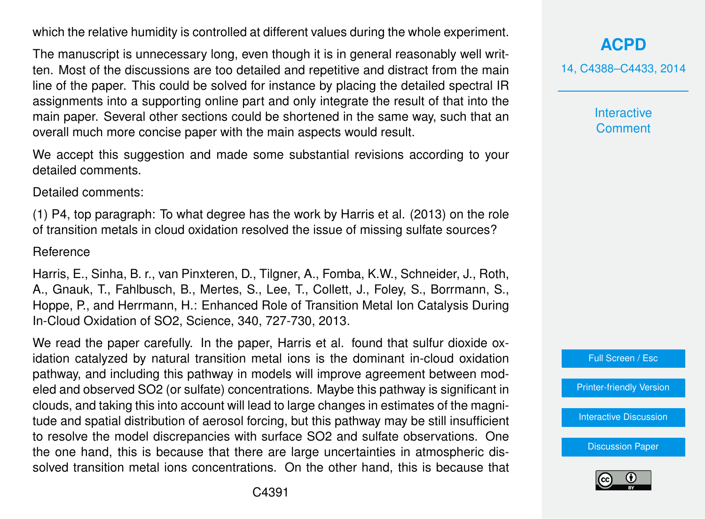which the relative humidity is controlled at different values during the whole experiment.

The manuscript is unnecessary long, even though it is in general reasonably well written. Most of the discussions are too detailed and repetitive and distract from the main line of the paper. This could be solved for instance by placing the detailed spectral IR assignments into a supporting online part and only integrate the result of that into the main paper. Several other sections could be shortened in the same way, such that an overall much more concise paper with the main aspects would result.

We accept this suggestion and made some substantial revisions according to your detailed comments.

Detailed comments:

(1) P4, top paragraph: To what degree has the work by Harris et al. (2013) on the role of transition metals in cloud oxidation resolved the issue of missing sulfate sources?

#### Reference

Harris, E., Sinha, B. r., van Pinxteren, D., Tilgner, A., Fomba, K.W., Schneider, J., Roth, A., Gnauk, T., Fahlbusch, B., Mertes, S., Lee, T., Collett, J., Foley, S., Borrmann, S., Hoppe, P., and Herrmann, H.: Enhanced Role of Transition Metal Ion Catalysis During In-Cloud Oxidation of SO2, Science, 340, 727-730, 2013.

We read the paper carefully. In the paper, Harris et al. found that sulfur dioxide oxidation catalyzed by natural transition metal ions is the dominant in-cloud oxidation pathway, and including this pathway in models will improve agreement between modeled and observed SO2 (or sulfate) concentrations. Maybe this pathway is significant in clouds, and taking this into account will lead to large changes in estimates of the magnitude and spatial distribution of aerosol forcing, but this pathway may be still insufficient to resolve the model discrepancies with surface SO2 and sulfate observations. One the one hand, this is because that there are large uncertainties in atmospheric dissolved transition metal ions concentrations. On the other hand, this is because that

# **[ACPD](http://www.atmos-chem-phys-discuss.net)**

14, C4388–C4433, 2014

**Interactive Comment** 



[Printer-friendly Version](http://www.atmos-chem-phys-discuss.net/14/C4388/2014/acpd-14-C4388-2014-print.pdf)

[Interactive Discussion](http://www.atmos-chem-phys-discuss.net/14/11577/2014/acpd-14-11577-2014-discussion.html)

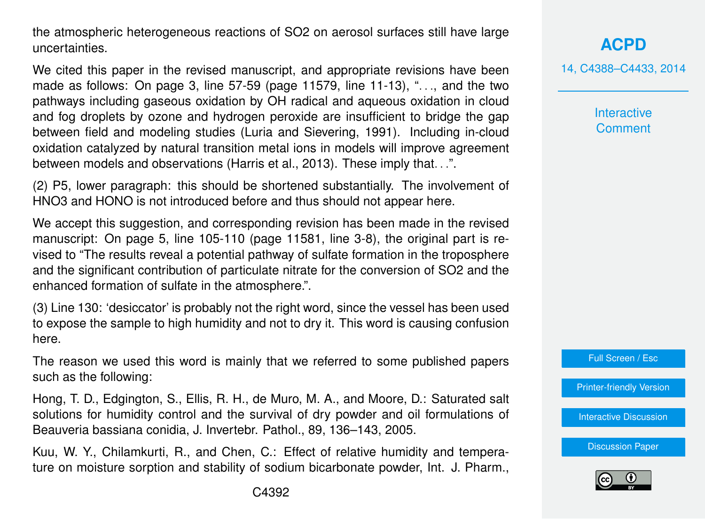the atmospheric heterogeneous reactions of SO2 on aerosol surfaces still have large uncertainties.

We cited this paper in the revised manuscript, and appropriate revisions have been made as follows: On page 3, line  $57-59$  (page 11579, line  $11-13$ ), "..., and the two pathways including gaseous oxidation by OH radical and aqueous oxidation in cloud and fog droplets by ozone and hydrogen peroxide are insufficient to bridge the gap between field and modeling studies (Luria and Sievering, 1991). Including in-cloud oxidation catalyzed by natural transition metal ions in models will improve agreement between models and observations (Harris et al., 2013). These imply that. . .".

(2) P5, lower paragraph: this should be shortened substantially. The involvement of HNO3 and HONO is not introduced before and thus should not appear here.

We accept this suggestion, and corresponding revision has been made in the revised manuscript: On page 5, line 105-110 (page 11581, line 3-8), the original part is revised to "The results reveal a potential pathway of sulfate formation in the troposphere and the significant contribution of particulate nitrate for the conversion of SO2 and the enhanced formation of sulfate in the atmosphere.".

(3) Line 130: 'desiccator' is probably not the right word, since the vessel has been used to expose the sample to high humidity and not to dry it. This word is causing confusion here.

The reason we used this word is mainly that we referred to some published papers such as the following:

Hong, T. D., Edgington, S., Ellis, R. H., de Muro, M. A., and Moore, D.: Saturated salt solutions for humidity control and the survival of dry powder and oil formulations of Beauveria bassiana conidia, J. Invertebr. Pathol., 89, 136–143, 2005.

Kuu, W. Y., Chilamkurti, R., and Chen, C.: Effect of relative humidity and temperature on moisture sorption and stability of sodium bicarbonate powder, Int. J. Pharm., 14, C4388–C4433, 2014

**Interactive Comment** 

Full Screen / Esc

[Printer-friendly Version](http://www.atmos-chem-phys-discuss.net/14/C4388/2014/acpd-14-C4388-2014-print.pdf)

[Interactive Discussion](http://www.atmos-chem-phys-discuss.net/14/11577/2014/acpd-14-11577-2014-discussion.html)

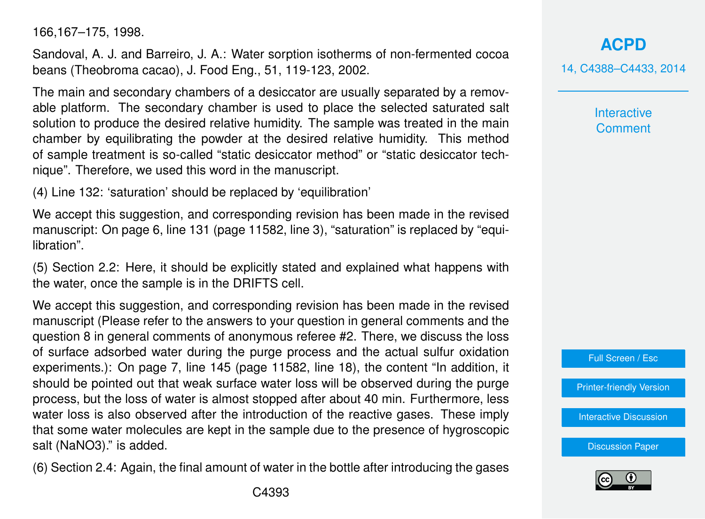166,167–175, 1998.

Sandoval, A. J. and Barreiro, J. A.: Water sorption isotherms of non-fermented cocoa beans (Theobroma cacao), J. Food Eng., 51, 119-123, 2002.

The main and secondary chambers of a desiccator are usually separated by a removable platform. The secondary chamber is used to place the selected saturated salt solution to produce the desired relative humidity. The sample was treated in the main chamber by equilibrating the powder at the desired relative humidity. This method of sample treatment is so-called "static desiccator method" or "static desiccator technique". Therefore, we used this word in the manuscript.

(4) Line 132: 'saturation' should be replaced by 'equilibration'

We accept this suggestion, and corresponding revision has been made in the revised manuscript: On page 6, line 131 (page 11582, line 3), "saturation" is replaced by "equilibration".

(5) Section 2.2: Here, it should be explicitly stated and explained what happens with the water, once the sample is in the DRIFTS cell.

We accept this suggestion, and corresponding revision has been made in the revised manuscript (Please refer to the answers to your question in general comments and the question 8 in general comments of anonymous referee #2. There, we discuss the loss of surface adsorbed water during the purge process and the actual sulfur oxidation experiments.): On page 7, line 145 (page 11582, line 18), the content "In addition, it should be pointed out that weak surface water loss will be observed during the purge process, but the loss of water is almost stopped after about 40 min. Furthermore, less water loss is also observed after the introduction of the reactive gases. These imply that some water molecules are kept in the sample due to the presence of hygroscopic salt (NaNO3)." is added.

(6) Section 2.4: Again, the final amount of water in the bottle after introducing the gases

**[ACPD](http://www.atmos-chem-phys-discuss.net)** 14, C4388–C4433, 2014

> **Interactive Comment**



[Printer-friendly Version](http://www.atmos-chem-phys-discuss.net/14/C4388/2014/acpd-14-C4388-2014-print.pdf)

[Interactive Discussion](http://www.atmos-chem-phys-discuss.net/14/11577/2014/acpd-14-11577-2014-discussion.html)

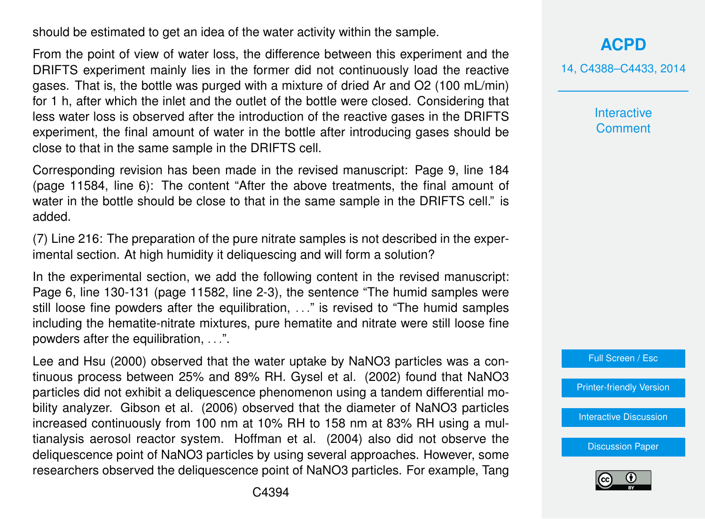should be estimated to get an idea of the water activity within the sample.

From the point of view of water loss, the difference between this experiment and the DRIFTS experiment mainly lies in the former did not continuously load the reactive gases. That is, the bottle was purged with a mixture of dried Ar and O2 (100 mL/min) for 1 h, after which the inlet and the outlet of the bottle were closed. Considering that less water loss is observed after the introduction of the reactive gases in the DRIFTS experiment, the final amount of water in the bottle after introducing gases should be close to that in the same sample in the DRIFTS cell.

Corresponding revision has been made in the revised manuscript: Page 9, line 184 (page 11584, line 6): The content "After the above treatments, the final amount of water in the bottle should be close to that in the same sample in the DRIFTS cell." is added.

(7) Line 216: The preparation of the pure nitrate samples is not described in the experimental section. At high humidity it deliquescing and will form a solution?

In the experimental section, we add the following content in the revised manuscript: Page 6, line 130-131 (page 11582, line 2-3), the sentence "The humid samples were still loose fine powders after the equilibration, . . ." is revised to "The humid samples including the hematite-nitrate mixtures, pure hematite and nitrate were still loose fine powders after the equilibration, . . .".

Lee and Hsu (2000) observed that the water uptake by NaNO3 particles was a continuous process between 25% and 89% RH. Gysel et al. (2002) found that NaNO3 particles did not exhibit a deliquescence phenomenon using a tandem differential mobility analyzer. Gibson et al. (2006) observed that the diameter of NaNO3 particles increased continuously from 100 nm at 10% RH to 158 nm at 83% RH using a multianalysis aerosol reactor system. Hoffman et al. (2004) also did not observe the deliquescence point of NaNO3 particles by using several approaches. However, some researchers observed the deliquescence point of NaNO3 particles. For example, Tang 14, C4388–C4433, 2014

**Interactive Comment** 



[Printer-friendly Version](http://www.atmos-chem-phys-discuss.net/14/C4388/2014/acpd-14-C4388-2014-print.pdf)

[Interactive Discussion](http://www.atmos-chem-phys-discuss.net/14/11577/2014/acpd-14-11577-2014-discussion.html)

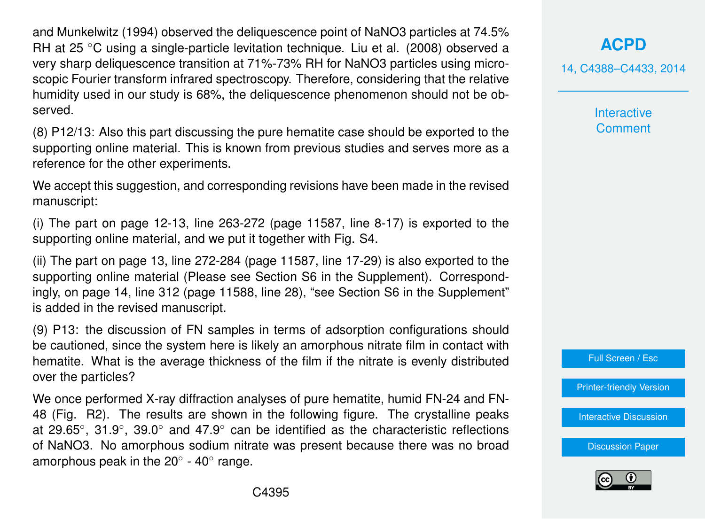and Munkelwitz (1994) observed the deliquescence point of NaNO3 particles at 74.5% RH at 25 ◦C using a single-particle levitation technique. Liu et al. (2008) observed a very sharp deliquescence transition at 71%-73% RH for NaNO3 particles using microscopic Fourier transform infrared spectroscopy. Therefore, considering that the relative humidity used in our study is 68%, the deliquescence phenomenon should not be observed.

(8) P12/13: Also this part discussing the pure hematite case should be exported to the supporting online material. This is known from previous studies and serves more as a reference for the other experiments.

We accept this suggestion, and corresponding revisions have been made in the revised manuscript:

(i) The part on page 12-13, line 263-272 (page 11587, line 8-17) is exported to the supporting online material, and we put it together with Fig. S4.

(ii) The part on page 13, line 272-284 (page 11587, line 17-29) is also exported to the supporting online material (Please see Section S6 in the Supplement). Correspondingly, on page 14, line 312 (page 11588, line 28), "see Section S6 in the Supplement" is added in the revised manuscript.

(9) P13: the discussion of FN samples in terms of adsorption configurations should be cautioned, since the system here is likely an amorphous nitrate film in contact with hematite. What is the average thickness of the film if the nitrate is evenly distributed over the particles?

We once performed X-ray diffraction analyses of pure hematite, humid FN-24 and FN-48 (Fig. R2). The results are shown in the following figure. The crystalline peaks at 29.65 $^{\circ}$ , 31.9 $^{\circ}$ , 39.0 $^{\circ}$  and 47.9 $^{\circ}$  can be identified as the characteristic reflections of NaNO3. No amorphous sodium nitrate was present because there was no broad amorphous peak in the 20 $^{\circ}$  - 40 $^{\circ}$  range.

**[ACPD](http://www.atmos-chem-phys-discuss.net)**

14, C4388–C4433, 2014

**Interactive Comment** 

Full Screen / Esc

[Printer-friendly Version](http://www.atmos-chem-phys-discuss.net/14/C4388/2014/acpd-14-C4388-2014-print.pdf)

[Interactive Discussion](http://www.atmos-chem-phys-discuss.net/14/11577/2014/acpd-14-11577-2014-discussion.html)

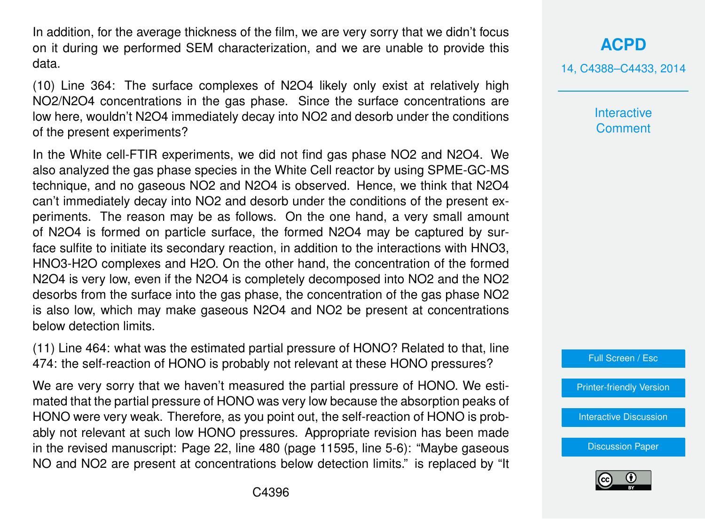In addition, for the average thickness of the film, we are very sorry that we didn't focus on it during we performed SEM characterization, and we are unable to provide this data.

(10) Line 364: The surface complexes of N2O4 likely only exist at relatively high NO2/N2O4 concentrations in the gas phase. Since the surface concentrations are low here, wouldn't N2O4 immediately decay into NO2 and desorb under the conditions of the present experiments?

In the White cell-FTIR experiments, we did not find gas phase NO2 and N2O4. We also analyzed the gas phase species in the White Cell reactor by using SPME-GC-MS technique, and no gaseous NO2 and N2O4 is observed. Hence, we think that N2O4 can't immediately decay into NO2 and desorb under the conditions of the present experiments. The reason may be as follows. On the one hand, a very small amount of N2O4 is formed on particle surface, the formed N2O4 may be captured by surface sulfite to initiate its secondary reaction, in addition to the interactions with HNO3, HNO3-H2O complexes and H2O. On the other hand, the concentration of the formed N2O4 is very low, even if the N2O4 is completely decomposed into NO2 and the NO2 desorbs from the surface into the gas phase, the concentration of the gas phase NO2 is also low, which may make gaseous N2O4 and NO2 be present at concentrations below detection limits.

(11) Line 464: what was the estimated partial pressure of HONO? Related to that, line 474: the self-reaction of HONO is probably not relevant at these HONO pressures?

We are very sorry that we haven't measured the partial pressure of HONO. We estimated that the partial pressure of HONO was very low because the absorption peaks of HONO were very weak. Therefore, as you point out, the self-reaction of HONO is probably not relevant at such low HONO pressures. Appropriate revision has been made in the revised manuscript: Page 22, line 480 (page 11595, line 5-6): "Maybe gaseous NO and NO2 are present at concentrations below detection limits." is replaced by "It

# **[ACPD](http://www.atmos-chem-phys-discuss.net)**

14, C4388–C4433, 2014

**Interactive Comment** 



[Printer-friendly Version](http://www.atmos-chem-phys-discuss.net/14/C4388/2014/acpd-14-C4388-2014-print.pdf)

[Interactive Discussion](http://www.atmos-chem-phys-discuss.net/14/11577/2014/acpd-14-11577-2014-discussion.html)

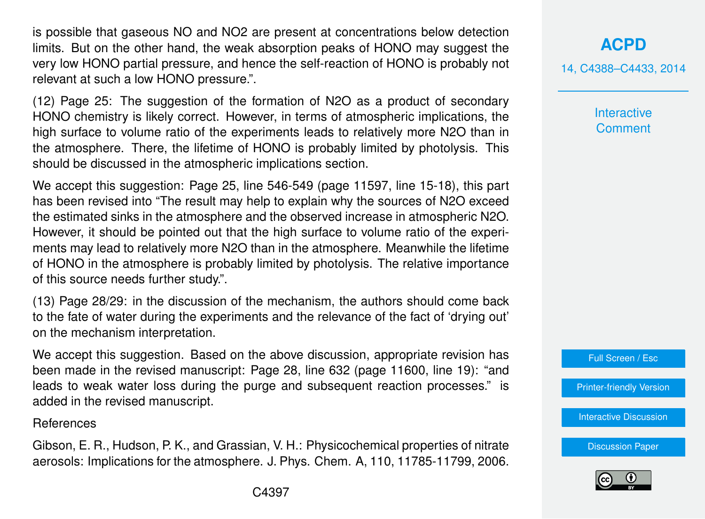is possible that gaseous NO and NO2 are present at concentrations below detection limits. But on the other hand, the weak absorption peaks of HONO may suggest the very low HONO partial pressure, and hence the self-reaction of HONO is probably not relevant at such a low HONO pressure.".

(12) Page 25: The suggestion of the formation of N2O as a product of secondary HONO chemistry is likely correct. However, in terms of atmospheric implications, the high surface to volume ratio of the experiments leads to relatively more N2O than in the atmosphere. There, the lifetime of HONO is probably limited by photolysis. This should be discussed in the atmospheric implications section.

We accept this suggestion: Page 25, line 546-549 (page 11597, line 15-18), this part has been revised into "The result may help to explain why the sources of N2O exceed the estimated sinks in the atmosphere and the observed increase in atmospheric N2O. However, it should be pointed out that the high surface to volume ratio of the experiments may lead to relatively more N2O than in the atmosphere. Meanwhile the lifetime of HONO in the atmosphere is probably limited by photolysis. The relative importance of this source needs further study.".

(13) Page 28/29: in the discussion of the mechanism, the authors should come back to the fate of water during the experiments and the relevance of the fact of 'drying out' on the mechanism interpretation.

We accept this suggestion. Based on the above discussion, appropriate revision has been made in the revised manuscript: Page 28, line 632 (page 11600, line 19): "and leads to weak water loss during the purge and subsequent reaction processes." is added in the revised manuscript.

References

Gibson, E. R., Hudson, P. K., and Grassian, V. H.: Physicochemical properties of nitrate aerosols: Implications for the atmosphere. J. Phys. Chem. A, 110, 11785-11799, 2006. 14, C4388–C4433, 2014

**Interactive Comment** 

Full Screen / Esc

[Printer-friendly Version](http://www.atmos-chem-phys-discuss.net/14/C4388/2014/acpd-14-C4388-2014-print.pdf)

[Interactive Discussion](http://www.atmos-chem-phys-discuss.net/14/11577/2014/acpd-14-11577-2014-discussion.html)

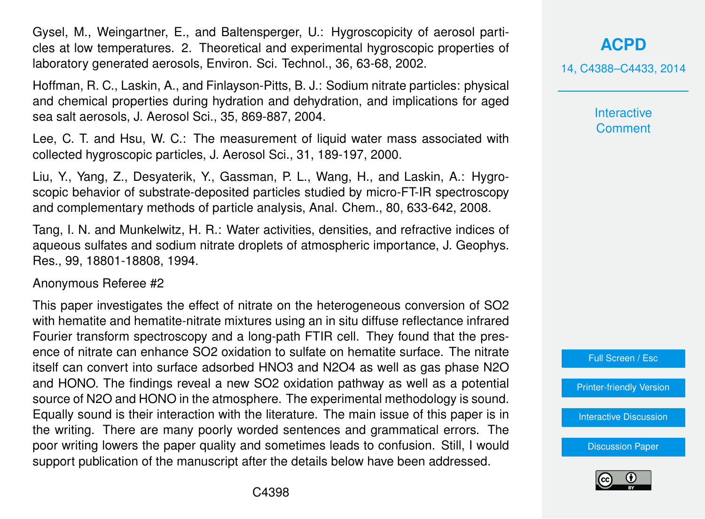Gysel, M., Weingartner, E., and Baltensperger, U.: Hygroscopicity of aerosol particles at low temperatures. 2. Theoretical and experimental hygroscopic properties of laboratory generated aerosols, Environ. Sci. Technol., 36, 63-68, 2002.

Hoffman, R. C., Laskin, A., and Finlayson-Pitts, B. J.: Sodium nitrate particles: physical and chemical properties during hydration and dehydration, and implications for aged sea salt aerosols, J. Aerosol Sci., 35, 869-887, 2004.

Lee, C. T. and Hsu, W. C.: The measurement of liquid water mass associated with collected hygroscopic particles, J. Aerosol Sci., 31, 189-197, 2000.

Liu, Y., Yang, Z., Desyaterik, Y., Gassman, P. L., Wang, H., and Laskin, A.: Hygroscopic behavior of substrate-deposited particles studied by micro-FT-IR spectroscopy and complementary methods of particle analysis, Anal. Chem., 80, 633-642, 2008.

Tang, I. N. and Munkelwitz, H. R.: Water activities, densities, and refractive indices of aqueous sulfates and sodium nitrate droplets of atmospheric importance, J. Geophys. Res., 99, 18801-18808, 1994.

Anonymous Referee #2

This paper investigates the effect of nitrate on the heterogeneous conversion of SO2 with hematite and hematite-nitrate mixtures using an in situ diffuse reflectance infrared Fourier transform spectroscopy and a long-path FTIR cell. They found that the presence of nitrate can enhance SO2 oxidation to sulfate on hematite surface. The nitrate itself can convert into surface adsorbed HNO3 and N2O4 as well as gas phase N2O and HONO. The findings reveal a new SO2 oxidation pathway as well as a potential source of N2O and HONO in the atmosphere. The experimental methodology is sound. Equally sound is their interaction with the literature. The main issue of this paper is in the writing. There are many poorly worded sentences and grammatical errors. The poor writing lowers the paper quality and sometimes leads to confusion. Still, I would support publication of the manuscript after the details below have been addressed.

**[ACPD](http://www.atmos-chem-phys-discuss.net)**

14, C4388–C4433, 2014

**Interactive Comment** 



[Printer-friendly Version](http://www.atmos-chem-phys-discuss.net/14/C4388/2014/acpd-14-C4388-2014-print.pdf)

[Interactive Discussion](http://www.atmos-chem-phys-discuss.net/14/11577/2014/acpd-14-11577-2014-discussion.html)

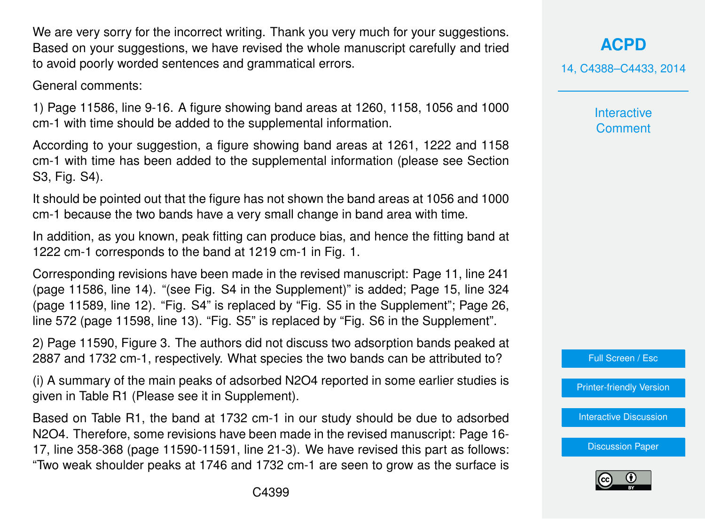We are very sorry for the incorrect writing. Thank you very much for your suggestions. Based on your suggestions, we have revised the whole manuscript carefully and tried to avoid poorly worded sentences and grammatical errors.

General comments:

1) Page 11586, line 9-16. A figure showing band areas at 1260, 1158, 1056 and 1000 cm-1 with time should be added to the supplemental information.

According to your suggestion, a figure showing band areas at 1261, 1222 and 1158 cm-1 with time has been added to the supplemental information (please see Section S3, Fig. S4).

It should be pointed out that the figure has not shown the band areas at 1056 and 1000 cm-1 because the two bands have a very small change in band area with time.

In addition, as you known, peak fitting can produce bias, and hence the fitting band at 1222 cm-1 corresponds to the band at 1219 cm-1 in Fig. 1.

Corresponding revisions have been made in the revised manuscript: Page 11, line 241 (page 11586, line 14). "(see Fig. S4 in the Supplement)" is added; Page 15, line 324 (page 11589, line 12). "Fig. S4" is replaced by "Fig. S5 in the Supplement"; Page 26, line 572 (page 11598, line 13). "Fig. S5" is replaced by "Fig. S6 in the Supplement".

2) Page 11590, Figure 3. The authors did not discuss two adsorption bands peaked at 2887 and 1732 cm-1, respectively. What species the two bands can be attributed to?

(i) A summary of the main peaks of adsorbed N2O4 reported in some earlier studies is given in Table R1 (Please see it in Supplement).

Based on Table R1, the band at 1732 cm-1 in our study should be due to adsorbed N2O4. Therefore, some revisions have been made in the revised manuscript: Page 16- 17, line 358-368 (page 11590-11591, line 21-3). We have revised this part as follows: "Two weak shoulder peaks at 1746 and 1732 cm-1 are seen to grow as the surface is **[ACPD](http://www.atmos-chem-phys-discuss.net)**

14, C4388–C4433, 2014

**Interactive Comment** 



[Printer-friendly Version](http://www.atmos-chem-phys-discuss.net/14/C4388/2014/acpd-14-C4388-2014-print.pdf)

[Interactive Discussion](http://www.atmos-chem-phys-discuss.net/14/11577/2014/acpd-14-11577-2014-discussion.html)

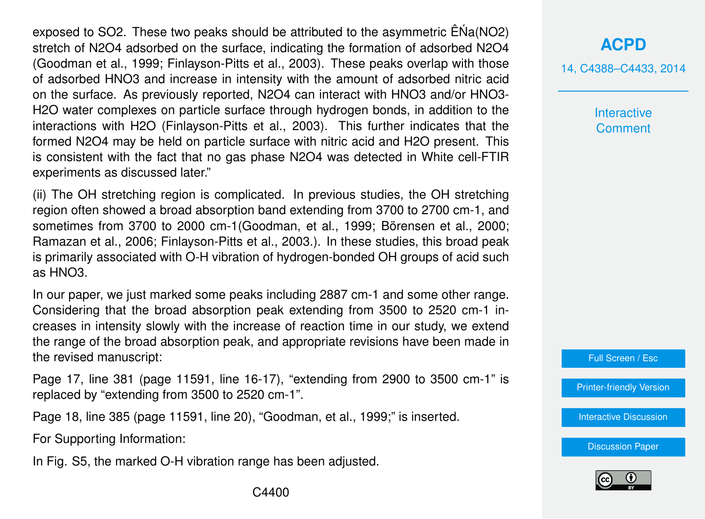exposed to SO2. These two peaks should be attributed to the asymmetric  $\hat{E}$ Na(NO2) stretch of N2O4 adsorbed on the surface, indicating the formation of adsorbed N2O4 (Goodman et al., 1999; Finlayson-Pitts et al., 2003). These peaks overlap with those of adsorbed HNO3 and increase in intensity with the amount of adsorbed nitric acid on the surface. As previously reported, N2O4 can interact with HNO3 and/or HNO3- H2O water complexes on particle surface through hydrogen bonds, in addition to the interactions with H2O (Finlayson-Pitts et al., 2003). This further indicates that the formed N2O4 may be held on particle surface with nitric acid and H2O present. This is consistent with the fact that no gas phase N2O4 was detected in White cell-FTIR experiments as discussed later."

(ii) The OH stretching region is complicated. In previous studies, the OH stretching region often showed a broad absorption band extending from 3700 to 2700 cm-1, and sometimes from 3700 to 2000 cm-1(Goodman, et al., 1999; Börensen et al., 2000; Ramazan et al., 2006; Finlayson-Pitts et al., 2003.). In these studies, this broad peak is primarily associated with O-H vibration of hydrogen-bonded OH groups of acid such as HNO3.

In our paper, we just marked some peaks including 2887 cm-1 and some other range. Considering that the broad absorption peak extending from 3500 to 2520 cm-1 increases in intensity slowly with the increase of reaction time in our study, we extend the range of the broad absorption peak, and appropriate revisions have been made in the revised manuscript:

Page 17, line 381 (page 11591, line 16-17), "extending from 2900 to 3500 cm-1" is replaced by "extending from 3500 to 2520 cm-1".

Page 18, line 385 (page 11591, line 20), "Goodman, et al., 1999;" is inserted.

For Supporting Information:

In Fig. S5, the marked O-H vibration range has been adjusted.

# **[ACPD](http://www.atmos-chem-phys-discuss.net)**

14, C4388–C4433, 2014

**Interactive Comment** 

Full Screen / Esc

[Printer-friendly Version](http://www.atmos-chem-phys-discuss.net/14/C4388/2014/acpd-14-C4388-2014-print.pdf)

[Interactive Discussion](http://www.atmos-chem-phys-discuss.net/14/11577/2014/acpd-14-11577-2014-discussion.html)

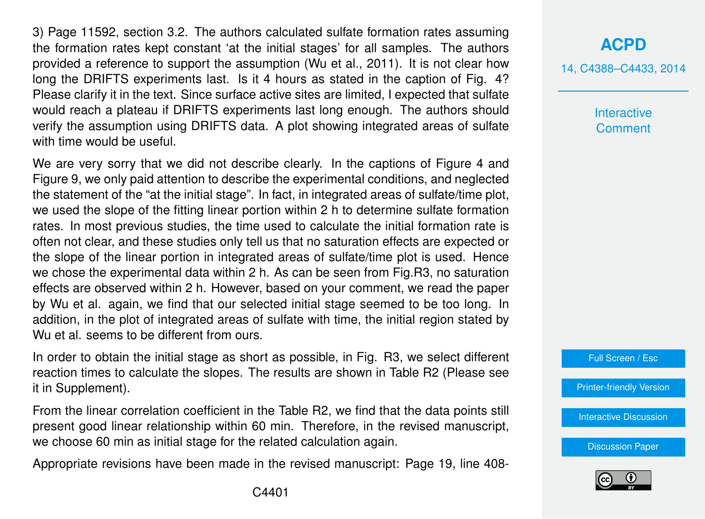3) Page 11592, section 3.2. The authors calculated sulfate formation rates assuming the formation rates kept constant 'at the initial stages' for all samples. The authors provided a reference to support the assumption (Wu et al., 2011). It is not clear how long the DRIFTS experiments last. Is it 4 hours as stated in the caption of Fig. 4? Please clarify it in the text. Since surface active sites are limited, I expected that sulfate would reach a plateau if DRIFTS experiments last long enough. The authors should verify the assumption using DRIFTS data. A plot showing integrated areas of sulfate with time would be useful.

We are very sorry that we did not describe clearly. In the captions of Figure 4 and Figure 9, we only paid attention to describe the experimental conditions, and neglected the statement of the "at the initial stage". In fact, in integrated areas of sulfate/time plot, we used the slope of the fitting linear portion within 2 h to determine sulfate formation rates. In most previous studies, the time used to calculate the initial formation rate is often not clear, and these studies only tell us that no saturation effects are expected or the slope of the linear portion in integrated areas of sulfate/time plot is used. Hence we chose the experimental data within 2 h. As can be seen from Fig.R3, no saturation effects are observed within 2 h. However, based on your comment, we read the paper by Wu et al. again, we find that our selected initial stage seemed to be too long. In addition, in the plot of integrated areas of sulfate with time, the initial region stated by Wu et al. seems to be different from ours.

In order to obtain the initial stage as short as possible, in Fig. R3, we select different reaction times to calculate the slopes. The results are shown in Table R2 (Please see it in Supplement).

From the linear correlation coefficient in the Table R2, we find that the data points still present good linear relationship within 60 min. Therefore, in the revised manuscript, we choose 60 min as initial stage for the related calculation again.

Appropriate revisions have been made in the revised manuscript: Page 19, line 408-

# **[ACPD](http://www.atmos-chem-phys-discuss.net)**

14, C4388–C4433, 2014

**Interactive Comment** 

Full Screen / Esc

[Printer-friendly Version](http://www.atmos-chem-phys-discuss.net/14/C4388/2014/acpd-14-C4388-2014-print.pdf)

[Interactive Discussion](http://www.atmos-chem-phys-discuss.net/14/11577/2014/acpd-14-11577-2014-discussion.html)

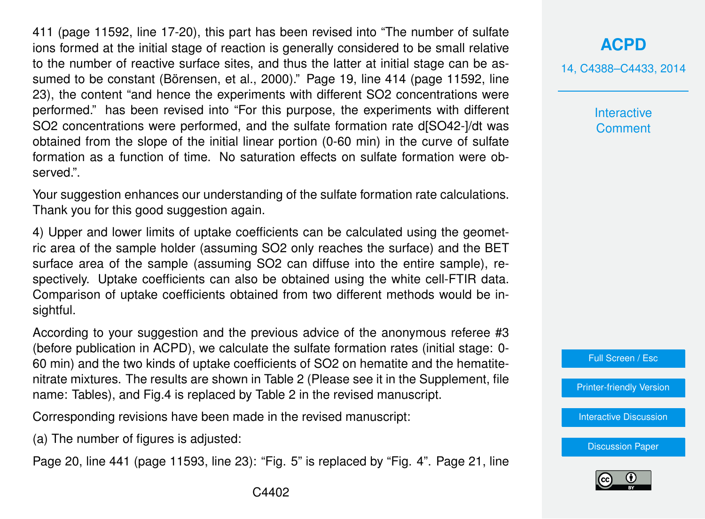411 (page 11592, line 17-20), this part has been revised into "The number of sulfate ions formed at the initial stage of reaction is generally considered to be small relative to the number of reactive surface sites, and thus the latter at initial stage can be assumed to be constant (Börensen, et al., 2000)." Page 19, line 414 (page 11592, line 23), the content "and hence the experiments with different SO2 concentrations were performed." has been revised into "For this purpose, the experiments with different SO2 concentrations were performed, and the sulfate formation rate d[SO42-]/dt was obtained from the slope of the initial linear portion (0-60 min) in the curve of sulfate formation as a function of time. No saturation effects on sulfate formation were observed.".

Your suggestion enhances our understanding of the sulfate formation rate calculations. Thank you for this good suggestion again.

4) Upper and lower limits of uptake coefficients can be calculated using the geometric area of the sample holder (assuming SO2 only reaches the surface) and the BET surface area of the sample (assuming SO2 can diffuse into the entire sample), respectively. Uptake coefficients can also be obtained using the white cell-FTIR data. Comparison of uptake coefficients obtained from two different methods would be insightful.

According to your suggestion and the previous advice of the anonymous referee #3 (before publication in ACPD), we calculate the sulfate formation rates (initial stage: 0- 60 min) and the two kinds of uptake coefficients of SO2 on hematite and the hematitenitrate mixtures. The results are shown in Table 2 (Please see it in the Supplement, file name: Tables), and Fig.4 is replaced by Table 2 in the revised manuscript.

Corresponding revisions have been made in the revised manuscript:

(a) The number of figures is adjusted:

Page 20, line 441 (page 11593, line 23): "Fig. 5" is replaced by "Fig. 4". Page 21, line

14, C4388–C4433, 2014

**Interactive Comment** 

Full Screen / Esc

[Printer-friendly Version](http://www.atmos-chem-phys-discuss.net/14/C4388/2014/acpd-14-C4388-2014-print.pdf)

[Interactive Discussion](http://www.atmos-chem-phys-discuss.net/14/11577/2014/acpd-14-11577-2014-discussion.html)

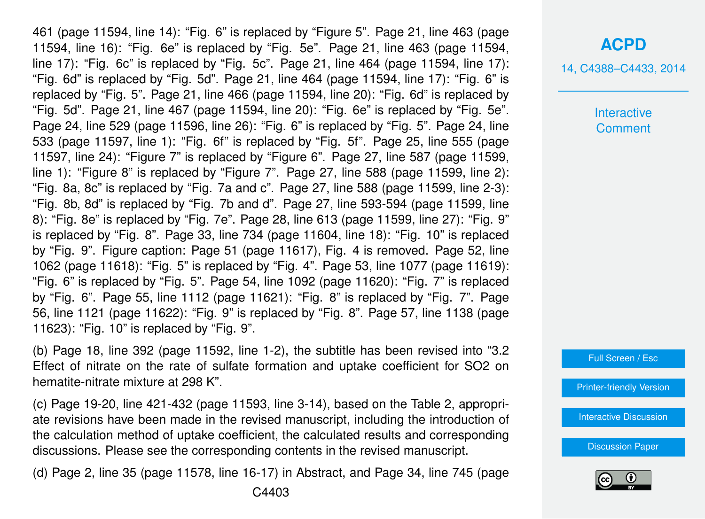461 (page 11594, line 14): "Fig. 6" is replaced by "Figure 5". Page 21, line 463 (page 11594, line 16): "Fig. 6e" is replaced by "Fig. 5e". Page 21, line 463 (page 11594, line 17): "Fig. 6c" is replaced by "Fig. 5c". Page 21, line 464 (page 11594, line 17): "Fig. 6d" is replaced by "Fig. 5d". Page 21, line 464 (page 11594, line 17): "Fig. 6" is replaced by "Fig. 5". Page 21, line 466 (page 11594, line 20): "Fig. 6d" is replaced by "Fig. 5d". Page 21, line 467 (page 11594, line 20): "Fig. 6e" is replaced by "Fig. 5e". Page 24, line 529 (page 11596, line 26): "Fig. 6" is replaced by "Fig. 5". Page 24, line 533 (page 11597, line 1): "Fig. 6f" is replaced by "Fig. 5f". Page 25, line 555 (page 11597, line 24): "Figure 7" is replaced by "Figure 6". Page 27, line 587 (page 11599, line 1): "Figure 8" is replaced by "Figure 7". Page 27, line 588 (page 11599, line 2): "Fig. 8a, 8c" is replaced by "Fig. 7a and c". Page 27, line 588 (page 11599, line 2-3): "Fig. 8b, 8d" is replaced by "Fig. 7b and d". Page 27, line 593-594 (page 11599, line 8): "Fig. 8e" is replaced by "Fig. 7e". Page 28, line 613 (page 11599, line 27): "Fig. 9" is replaced by "Fig. 8". Page 33, line 734 (page 11604, line 18): "Fig. 10" is replaced by "Fig. 9". Figure caption: Page 51 (page 11617), Fig. 4 is removed. Page 52, line 1062 (page 11618): "Fig. 5" is replaced by "Fig. 4". Page 53, line 1077 (page 11619): "Fig. 6" is replaced by "Fig. 5". Page 54, line 1092 (page 11620): "Fig. 7" is replaced by "Fig. 6". Page 55, line 1112 (page 11621): "Fig. 8" is replaced by "Fig. 7". Page 56, line 1121 (page 11622): "Fig. 9" is replaced by "Fig. 8". Page 57, line 1138 (page 11623): "Fig. 10" is replaced by "Fig. 9".

(b) Page 18, line 392 (page 11592, line 1-2), the subtitle has been revised into "3.2 Effect of nitrate on the rate of sulfate formation and uptake coefficient for SO2 on hematite-nitrate mixture at 298 K".

(c) Page 19-20, line 421-432 (page 11593, line 3-14), based on the Table 2, appropriate revisions have been made in the revised manuscript, including the introduction of the calculation method of uptake coefficient, the calculated results and corresponding discussions. Please see the corresponding contents in the revised manuscript.

(d) Page 2, line 35 (page 11578, line 16-17) in Abstract, and Page 34, line 745 (page

#### **[ACPD](http://www.atmos-chem-phys-discuss.net)**

14, C4388–C4433, 2014

**Interactive Comment** 

Full Screen / Esc

[Printer-friendly Version](http://www.atmos-chem-phys-discuss.net/14/C4388/2014/acpd-14-C4388-2014-print.pdf)

**[Interactive Discussion](http://www.atmos-chem-phys-discuss.net/14/11577/2014/acpd-14-11577-2014-discussion.html)** 

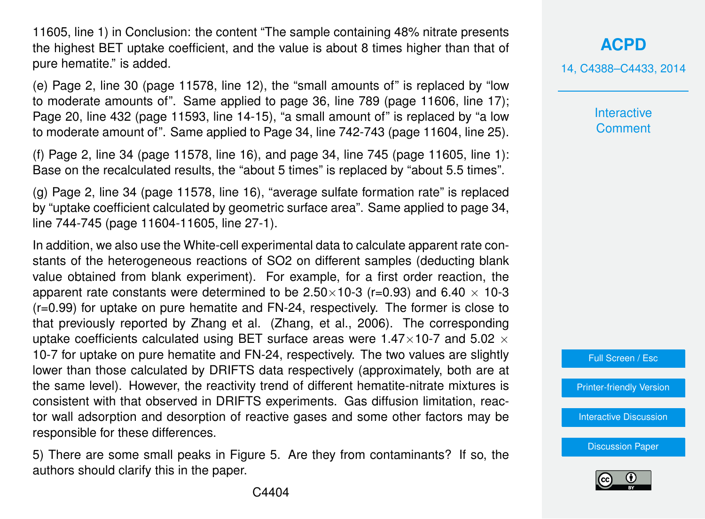11605, line 1) in Conclusion: the content "The sample containing 48% nitrate presents the highest BET uptake coefficient, and the value is about 8 times higher than that of pure hematite." is added.

(e) Page 2, line 30 (page 11578, line 12), the "small amounts of" is replaced by "low to moderate amounts of". Same applied to page 36, line 789 (page 11606, line 17); Page 20, line 432 (page 11593, line 14-15), "a small amount of" is replaced by "a low to moderate amount of". Same applied to Page 34, line 742-743 (page 11604, line 25).

(f) Page 2, line 34 (page 11578, line 16), and page 34, line 745 (page 11605, line 1): Base on the recalculated results, the "about 5 times" is replaced by "about 5.5 times".

(g) Page 2, line 34 (page 11578, line 16), "average sulfate formation rate" is replaced by "uptake coefficient calculated by geometric surface area". Same applied to page 34, line 744-745 (page 11604-11605, line 27-1).

In addition, we also use the White-cell experimental data to calculate apparent rate constants of the heterogeneous reactions of SO2 on different samples (deducting blank value obtained from blank experiment). For example, for a first order reaction, the apparent rate constants were determined to be  $2.50\times10^{-3}$  (r=0.93) and 6.40  $\times$  10-3 (r=0.99) for uptake on pure hematite and FN-24, respectively. The former is close to that previously reported by Zhang et al. (Zhang, et al., 2006). The corresponding uptake coefficients calculated using BET surface areas were 1.47 $\times$ 10-7 and 5.02  $\times$ 10-7 for uptake on pure hematite and FN-24, respectively. The two values are slightly lower than those calculated by DRIFTS data respectively (approximately, both are at the same level). However, the reactivity trend of different hematite-nitrate mixtures is consistent with that observed in DRIFTS experiments. Gas diffusion limitation, reactor wall adsorption and desorption of reactive gases and some other factors may be responsible for these differences.

5) There are some small peaks in Figure 5. Are they from contaminants? If so, the authors should clarify this in the paper.

**Interactive Comment** 

Full Screen / Esc

[Printer-friendly Version](http://www.atmos-chem-phys-discuss.net/14/C4388/2014/acpd-14-C4388-2014-print.pdf)

[Interactive Discussion](http://www.atmos-chem-phys-discuss.net/14/11577/2014/acpd-14-11577-2014-discussion.html)

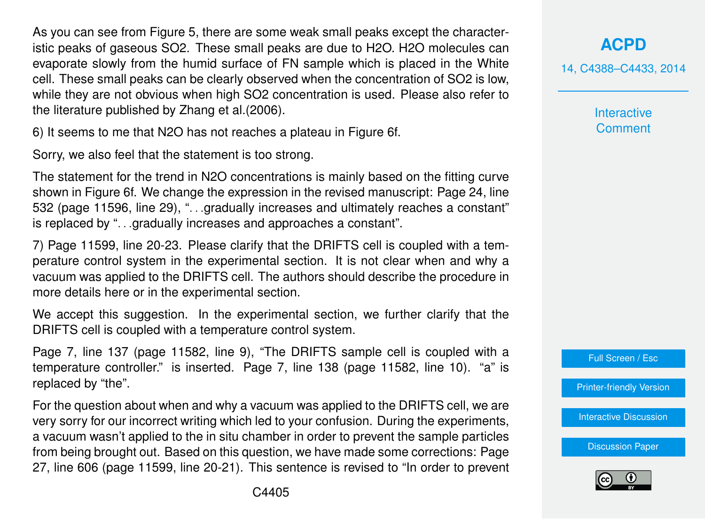As you can see from Figure 5, there are some weak small peaks except the characteristic peaks of gaseous SO2. These small peaks are due to H2O. H2O molecules can evaporate slowly from the humid surface of FN sample which is placed in the White cell. These small peaks can be clearly observed when the concentration of SO2 is low, while they are not obvious when high SO2 concentration is used. Please also refer to the literature published by Zhang et al.(2006).

6) It seems to me that N2O has not reaches a plateau in Figure 6f.

Sorry, we also feel that the statement is too strong.

The statement for the trend in N2O concentrations is mainly based on the fitting curve shown in Figure 6f. We change the expression in the revised manuscript: Page 24, line 532 (page 11596, line 29), ". . .gradually increases and ultimately reaches a constant" is replaced by ". . .gradually increases and approaches a constant".

7) Page 11599, line 20-23. Please clarify that the DRIFTS cell is coupled with a temperature control system in the experimental section. It is not clear when and why a vacuum was applied to the DRIFTS cell. The authors should describe the procedure in more details here or in the experimental section.

We accept this suggestion. In the experimental section, we further clarify that the DRIFTS cell is coupled with a temperature control system.

Page 7, line 137 (page 11582, line 9), "The DRIFTS sample cell is coupled with a temperature controller." is inserted. Page 7, line 138 (page 11582, line 10). "a" is replaced by "the".

For the question about when and why a vacuum was applied to the DRIFTS cell, we are very sorry for our incorrect writing which led to your confusion. During the experiments, a vacuum wasn't applied to the in situ chamber in order to prevent the sample particles from being brought out. Based on this question, we have made some corrections: Page 27, line 606 (page 11599, line 20-21). This sentence is revised to "In order to prevent **[ACPD](http://www.atmos-chem-phys-discuss.net)**

14, C4388–C4433, 2014

**Interactive Comment** 



[Printer-friendly Version](http://www.atmos-chem-phys-discuss.net/14/C4388/2014/acpd-14-C4388-2014-print.pdf)

[Interactive Discussion](http://www.atmos-chem-phys-discuss.net/14/11577/2014/acpd-14-11577-2014-discussion.html)

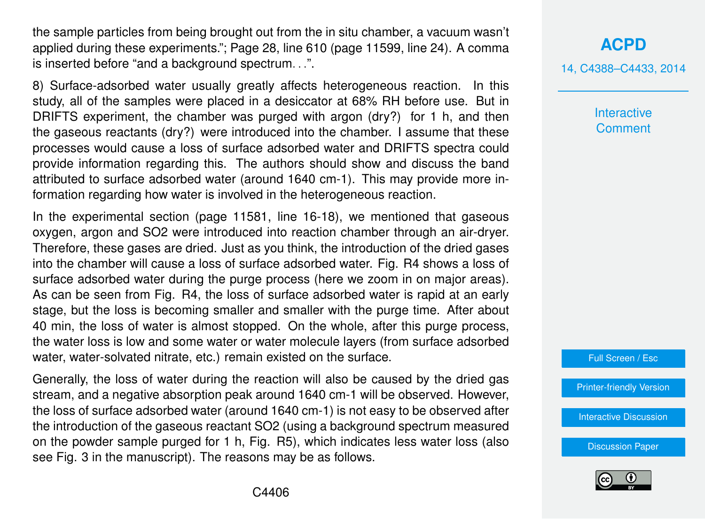the sample particles from being brought out from the in situ chamber, a vacuum wasn't applied during these experiments."; Page 28, line 610 (page 11599, line 24). A comma is inserted before "and a background spectrum. . .".

8) Surface-adsorbed water usually greatly affects heterogeneous reaction. In this study, all of the samples were placed in a desiccator at 68% RH before use. But in DRIFTS experiment, the chamber was purged with argon (dry?) for 1 h, and then the gaseous reactants (dry?) were introduced into the chamber. I assume that these processes would cause a loss of surface adsorbed water and DRIFTS spectra could provide information regarding this. The authors should show and discuss the band attributed to surface adsorbed water (around 1640 cm-1). This may provide more information regarding how water is involved in the heterogeneous reaction.

In the experimental section (page 11581, line 16-18), we mentioned that gaseous oxygen, argon and SO2 were introduced into reaction chamber through an air-dryer. Therefore, these gases are dried. Just as you think, the introduction of the dried gases into the chamber will cause a loss of surface adsorbed water. Fig. R4 shows a loss of surface adsorbed water during the purge process (here we zoom in on major areas). As can be seen from Fig. R4, the loss of surface adsorbed water is rapid at an early stage, but the loss is becoming smaller and smaller with the purge time. After about 40 min, the loss of water is almost stopped. On the whole, after this purge process, the water loss is low and some water or water molecule layers (from surface adsorbed water, water-solvated nitrate, etc.) remain existed on the surface.

Generally, the loss of water during the reaction will also be caused by the dried gas stream, and a negative absorption peak around 1640 cm-1 will be observed. However, the loss of surface adsorbed water (around 1640 cm-1) is not easy to be observed after the introduction of the gaseous reactant SO2 (using a background spectrum measured on the powder sample purged for 1 h, Fig. R5), which indicates less water loss (also see Fig. 3 in the manuscript). The reasons may be as follows.

**[ACPD](http://www.atmos-chem-phys-discuss.net)** 14, C4388–C4433, 2014

> **Interactive Comment**

Full Screen / Esc

[Printer-friendly Version](http://www.atmos-chem-phys-discuss.net/14/C4388/2014/acpd-14-C4388-2014-print.pdf)

[Interactive Discussion](http://www.atmos-chem-phys-discuss.net/14/11577/2014/acpd-14-11577-2014-discussion.html)

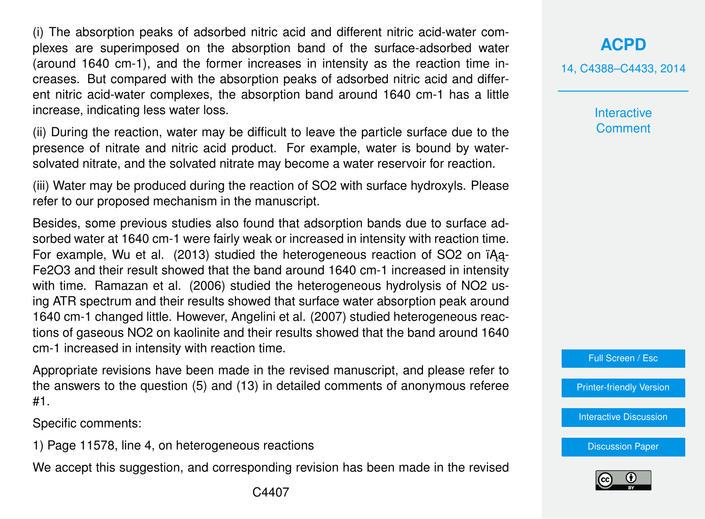(i) The absorption peaks of adsorbed nitric acid and different nitric acid-water complexes are superimposed on the absorption band of the surface-adsorbed water (around 1640 cm-1), and the former increases in intensity as the reaction time increases. But compared with the absorption peaks of adsorbed nitric acid and different nitric acid-water complexes, the absorption band around 1640 cm-1 has a little increase, indicating less water loss.

(ii) During the reaction, water may be difficult to leave the particle surface due to the presence of nitrate and nitric acid product. For example, water is bound by watersolvated nitrate, and the solvated nitrate may become a water reservoir for reaction.

(iii) Water may be produced during the reaction of SO2 with surface hydroxyls. Please refer to our proposed mechanism in the manuscript.

Besides, some previous studies also found that adsorption bands due to surface adsorbed water at 1640 cm-1 were fairly weak or increased in intensity with reaction time. For example, Wu et al. (2013) studied the heterogeneous reaction of SO2 on  $i$ Aa-Fe2O3 and their result showed that the band around 1640 cm-1 increased in intensity with time. Ramazan et al. (2006) studied the heterogeneous hydrolysis of NO2 using ATR spectrum and their results showed that surface water absorption peak around 1640 cm-1 changed little. However, Angelini et al. (2007) studied heterogeneous reactions of gaseous NO2 on kaolinite and their results showed that the band around 1640 cm-1 increased in intensity with reaction time.

Appropriate revisions have been made in the revised manuscript, and please refer to the answers to the question (5) and (13) in detailed comments of anonymous referee #1.

Specific comments:

1) Page 11578, line 4, on heterogeneous reactions

We accept this suggestion, and corresponding revision has been made in the revised

#### **[ACPD](http://www.atmos-chem-phys-discuss.net)**

14, C4388–C4433, 2014

**Interactive Comment** 

Full Screen / Esc

[Printer-friendly Version](http://www.atmos-chem-phys-discuss.net/14/C4388/2014/acpd-14-C4388-2014-print.pdf)

[Interactive Discussion](http://www.atmos-chem-phys-discuss.net/14/11577/2014/acpd-14-11577-2014-discussion.html)

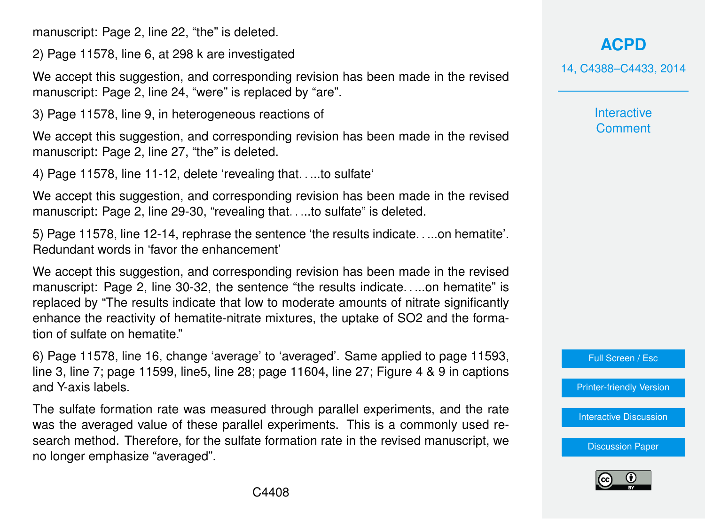manuscript: Page 2, line 22, "the" is deleted.

2) Page 11578, line 6, at 298 k are investigated

We accept this suggestion, and corresponding revision has been made in the revised manuscript: Page 2, line 24, "were" is replaced by "are".

3) Page 11578, line 9, in heterogeneous reactions of

We accept this suggestion, and corresponding revision has been made in the revised manuscript: Page 2, line 27, "the" is deleted.

4) Page 11578, line 11-12, delete 'revealing that. . ...to sulfate'

We accept this suggestion, and corresponding revision has been made in the revised manuscript: Page 2, line 29-30, "revealing that. . ...to sulfate" is deleted.

5) Page 11578, line 12-14, rephrase the sentence 'the results indicate. . ...on hematite'. Redundant words in 'favor the enhancement'

We accept this suggestion, and corresponding revision has been made in the revised manuscript: Page 2, line 30-32, the sentence "the results indicate. . ...on hematite" is replaced by "The results indicate that low to moderate amounts of nitrate significantly enhance the reactivity of hematite-nitrate mixtures, the uptake of SO2 and the formation of sulfate on hematite."

6) Page 11578, line 16, change 'average' to 'averaged'. Same applied to page 11593, line 3, line 7; page 11599, line5, line 28; page 11604, line 27; Figure 4 & 9 in captions and Y-axis labels.

The sulfate formation rate was measured through parallel experiments, and the rate was the averaged value of these parallel experiments. This is a commonly used research method. Therefore, for the sulfate formation rate in the revised manuscript, we no longer emphasize "averaged".

**[ACPD](http://www.atmos-chem-phys-discuss.net)**

14, C4388–C4433, 2014

**Interactive Comment** 

Full Screen / Esc

[Printer-friendly Version](http://www.atmos-chem-phys-discuss.net/14/C4388/2014/acpd-14-C4388-2014-print.pdf)

**[Interactive Discussion](http://www.atmos-chem-phys-discuss.net/14/11577/2014/acpd-14-11577-2014-discussion.html)** 

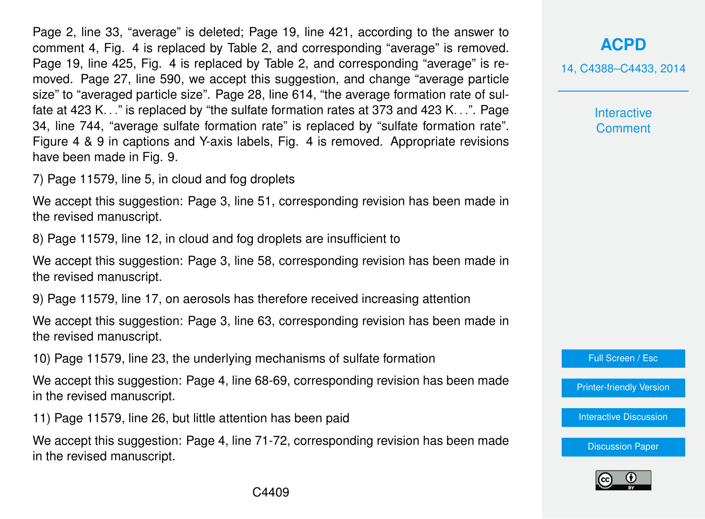Page 2, line 33, "average" is deleted; Page 19, line 421, according to the answer to comment 4, Fig. 4 is replaced by Table 2, and corresponding "average" is removed. Page 19, line 425, Fig. 4 is replaced by Table 2, and corresponding "average" is removed. Page 27, line 590, we accept this suggestion, and change "average particle size" to "averaged particle size". Page 28, line 614, "the average formation rate of sulfate at 423 K. . ." is replaced by "the sulfate formation rates at 373 and 423 K. . .". Page 34, line 744, "average sulfate formation rate" is replaced by "sulfate formation rate". Figure 4 & 9 in captions and Y-axis labels, Fig. 4 is removed. Appropriate revisions have been made in Fig. 9.

7) Page 11579, line 5, in cloud and fog droplets

We accept this suggestion: Page 3, line 51, corresponding revision has been made in the revised manuscript.

8) Page 11579, line 12, in cloud and fog droplets are insufficient to

We accept this suggestion: Page 3, line 58, corresponding revision has been made in the revised manuscript.

9) Page 11579, line 17, on aerosols has therefore received increasing attention

We accept this suggestion: Page 3, line 63, corresponding revision has been made in the revised manuscript.

10) Page 11579, line 23, the underlying mechanisms of sulfate formation

We accept this suggestion: Page 4, line 68-69, corresponding revision has been made in the revised manuscript.

11) Page 11579, line 26, but little attention has been paid

We accept this suggestion: Page 4, line 71-72, corresponding revision has been made in the revised manuscript.

### **[ACPD](http://www.atmos-chem-phys-discuss.net)**

14, C4388–C4433, 2014

**Interactive Comment** 

Full Screen / Esc

[Printer-friendly Version](http://www.atmos-chem-phys-discuss.net/14/C4388/2014/acpd-14-C4388-2014-print.pdf)

[Interactive Discussion](http://www.atmos-chem-phys-discuss.net/14/11577/2014/acpd-14-11577-2014-discussion.html)

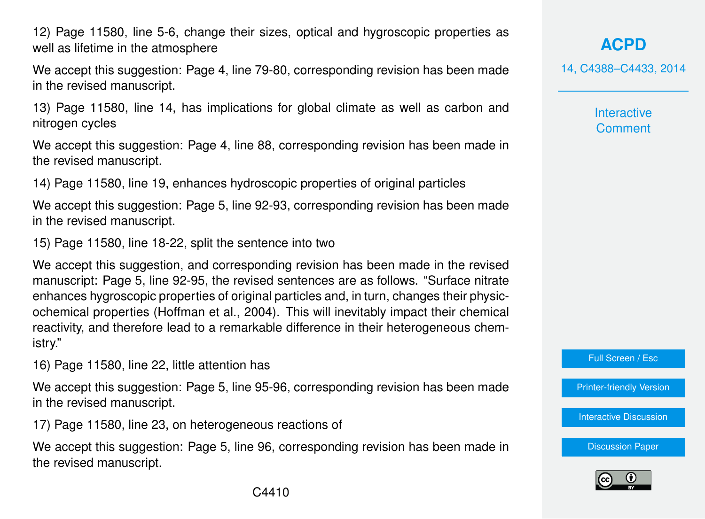12) Page 11580, line 5-6, change their sizes, optical and hygroscopic properties as well as lifetime in the atmosphere

We accept this suggestion: Page 4, line 79-80, corresponding revision has been made in the revised manuscript.

13) Page 11580, line 14, has implications for global climate as well as carbon and nitrogen cycles

We accept this suggestion: Page 4, line 88, corresponding revision has been made in the revised manuscript.

14) Page 11580, line 19, enhances hydroscopic properties of original particles

We accept this suggestion: Page 5, line 92-93, corresponding revision has been made in the revised manuscript.

15) Page 11580, line 18-22, split the sentence into two

We accept this suggestion, and corresponding revision has been made in the revised manuscript: Page 5, line 92-95, the revised sentences are as follows. "Surface nitrate enhances hygroscopic properties of original particles and, in turn, changes their physicochemical properties (Hoffman et al., 2004). This will inevitably impact their chemical reactivity, and therefore lead to a remarkable difference in their heterogeneous chemistry."

16) Page 11580, line 22, little attention has

We accept this suggestion: Page 5, line 95-96, corresponding revision has been made in the revised manuscript.

17) Page 11580, line 23, on heterogeneous reactions of

We accept this suggestion: Page 5, line 96, corresponding revision has been made in the revised manuscript.

**[ACPD](http://www.atmos-chem-phys-discuss.net)**

14, C4388–C4433, 2014

**Interactive Comment** 

Full Screen / Esc

[Printer-friendly Version](http://www.atmos-chem-phys-discuss.net/14/C4388/2014/acpd-14-C4388-2014-print.pdf)

[Interactive Discussion](http://www.atmos-chem-phys-discuss.net/14/11577/2014/acpd-14-11577-2014-discussion.html)

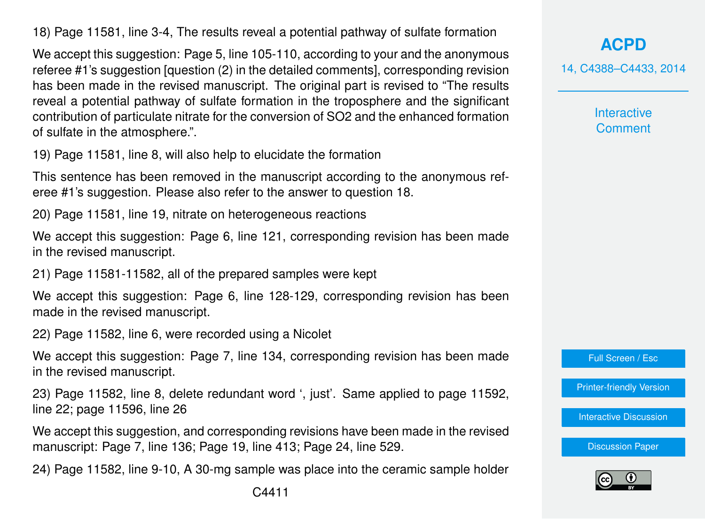18) Page 11581, line 3-4, The results reveal a potential pathway of sulfate formation

We accept this suggestion: Page 5, line 105-110, according to your and the anonymous referee #1's suggestion [question (2) in the detailed comments], corresponding revision has been made in the revised manuscript. The original part is revised to "The results reveal a potential pathway of sulfate formation in the troposphere and the significant contribution of particulate nitrate for the conversion of SO2 and the enhanced formation of sulfate in the atmosphere.".

19) Page 11581, line 8, will also help to elucidate the formation

This sentence has been removed in the manuscript according to the anonymous referee #1's suggestion. Please also refer to the answer to question 18.

20) Page 11581, line 19, nitrate on heterogeneous reactions

We accept this suggestion: Page 6, line 121, corresponding revision has been made in the revised manuscript.

21) Page 11581-11582, all of the prepared samples were kept

We accept this suggestion: Page 6, line 128-129, corresponding revision has been made in the revised manuscript.

22) Page 11582, line 6, were recorded using a Nicolet

We accept this suggestion: Page 7, line 134, corresponding revision has been made in the revised manuscript.

23) Page 11582, line 8, delete redundant word ', just'. Same applied to page 11592, line 22; page 11596, line 26

We accept this suggestion, and corresponding revisions have been made in the revised manuscript: Page 7, line 136; Page 19, line 413; Page 24, line 529.

24) Page 11582, line 9-10, A 30-mg sample was place into the ceramic sample holder

14, C4388–C4433, 2014

**Interactive Comment** 



[Printer-friendly Version](http://www.atmos-chem-phys-discuss.net/14/C4388/2014/acpd-14-C4388-2014-print.pdf)

[Interactive Discussion](http://www.atmos-chem-phys-discuss.net/14/11577/2014/acpd-14-11577-2014-discussion.html)

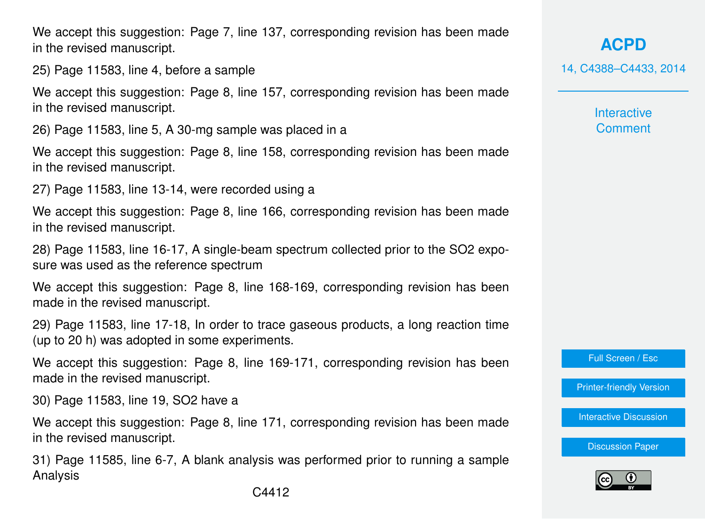We accept this suggestion: Page 7, line 137, corresponding revision has been made in the revised manuscript.

25) Page 11583, line 4, before a sample

We accept this suggestion: Page 8, line 157, corresponding revision has been made in the revised manuscript.

26) Page 11583, line 5, A 30-mg sample was placed in a

We accept this suggestion: Page 8, line 158, corresponding revision has been made in the revised manuscript.

27) Page 11583, line 13-14, were recorded using a

We accept this suggestion: Page 8, line 166, corresponding revision has been made in the revised manuscript.

28) Page 11583, line 16-17, A single-beam spectrum collected prior to the SO2 exposure was used as the reference spectrum

We accept this suggestion: Page 8, line 168-169, corresponding revision has been made in the revised manuscript.

29) Page 11583, line 17-18, In order to trace gaseous products, a long reaction time (up to 20 h) was adopted in some experiments.

We accept this suggestion: Page 8, line 169-171, corresponding revision has been made in the revised manuscript.

30) Page 11583, line 19, SO2 have a

We accept this suggestion: Page 8, line 171, corresponding revision has been made in the revised manuscript.

31) Page 11585, line 6-7, A blank analysis was performed prior to running a sample Analysis

**[ACPD](http://www.atmos-chem-phys-discuss.net)** 14, C4388–C4433, 2014

> **Interactive Comment**

Full Screen / Esc

[Printer-friendly Version](http://www.atmos-chem-phys-discuss.net/14/C4388/2014/acpd-14-C4388-2014-print.pdf)

[Interactive Discussion](http://www.atmos-chem-phys-discuss.net/14/11577/2014/acpd-14-11577-2014-discussion.html)

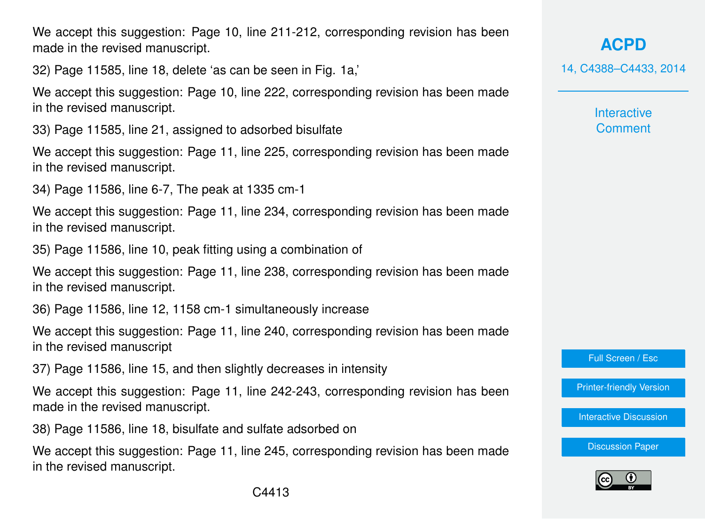We accept this suggestion: Page 10, line 211-212, corresponding revision has been made in the revised manuscript.

32) Page 11585, line 18, delete 'as can be seen in Fig. 1a,'

We accept this suggestion: Page 10, line 222, corresponding revision has been made in the revised manuscript.

33) Page 11585, line 21, assigned to adsorbed bisulfate

We accept this suggestion: Page 11, line 225, corresponding revision has been made in the revised manuscript.

34) Page 11586, line 6-7, The peak at 1335 cm-1

We accept this suggestion: Page 11, line 234, corresponding revision has been made in the revised manuscript.

35) Page 11586, line 10, peak fitting using a combination of

We accept this suggestion: Page 11, line 238, corresponding revision has been made in the revised manuscript.

36) Page 11586, line 12, 1158 cm-1 simultaneously increase

We accept this suggestion: Page 11, line 240, corresponding revision has been made in the revised manuscript

37) Page 11586, line 15, and then slightly decreases in intensity

We accept this suggestion: Page 11, line 242-243, corresponding revision has been made in the revised manuscript.

38) Page 11586, line 18, bisulfate and sulfate adsorbed on

We accept this suggestion: Page 11, line 245, corresponding revision has been made in the revised manuscript.

**[ACPD](http://www.atmos-chem-phys-discuss.net)**

14, C4388–C4433, 2014

**Interactive Comment** 

Full Screen / Esc

[Printer-friendly Version](http://www.atmos-chem-phys-discuss.net/14/C4388/2014/acpd-14-C4388-2014-print.pdf)

[Interactive Discussion](http://www.atmos-chem-phys-discuss.net/14/11577/2014/acpd-14-11577-2014-discussion.html)

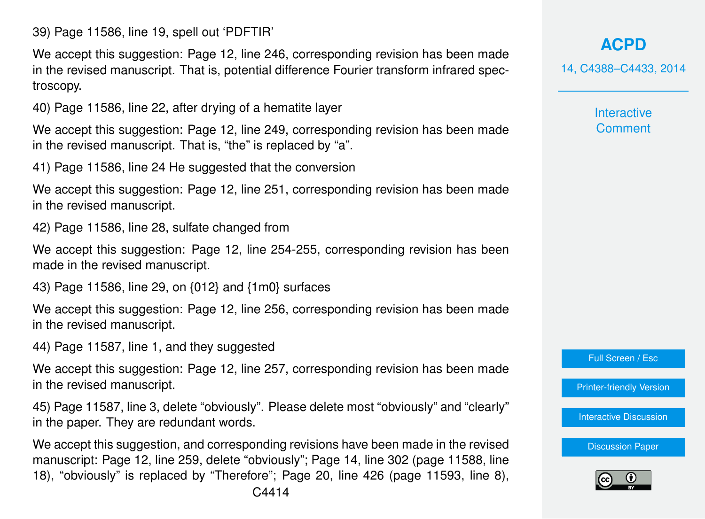39) Page 11586, line 19, spell out 'PDFTIR'

We accept this suggestion: Page 12, line 246, corresponding revision has been made in the revised manuscript. That is, potential difference Fourier transform infrared spectroscopy.

40) Page 11586, line 22, after drying of a hematite layer

We accept this suggestion: Page 12, line 249, corresponding revision has been made in the revised manuscript. That is, "the" is replaced by "a".

41) Page 11586, line 24 He suggested that the conversion

We accept this suggestion: Page 12, line 251, corresponding revision has been made in the revised manuscript.

42) Page 11586, line 28, sulfate changed from

We accept this suggestion: Page 12, line 254-255, corresponding revision has been made in the revised manuscript.

43) Page 11586, line 29, on {012} and {1m0} surfaces

We accept this suggestion: Page 12, line 256, corresponding revision has been made in the revised manuscript.

44) Page 11587, line 1, and they suggested

We accept this suggestion: Page 12, line 257, corresponding revision has been made in the revised manuscript.

45) Page 11587, line 3, delete "obviously". Please delete most "obviously" and "clearly" in the paper. They are redundant words.

We accept this suggestion, and corresponding revisions have been made in the revised manuscript: Page 12, line 259, delete "obviously"; Page 14, line 302 (page 11588, line 18), "obviously" is replaced by "Therefore"; Page 20, line 426 (page 11593, line 8),

# **[ACPD](http://www.atmos-chem-phys-discuss.net)**

14, C4388–C4433, 2014

**Interactive Comment** 

Full Screen / Esc

[Printer-friendly Version](http://www.atmos-chem-phys-discuss.net/14/C4388/2014/acpd-14-C4388-2014-print.pdf)

[Interactive Discussion](http://www.atmos-chem-phys-discuss.net/14/11577/2014/acpd-14-11577-2014-discussion.html)

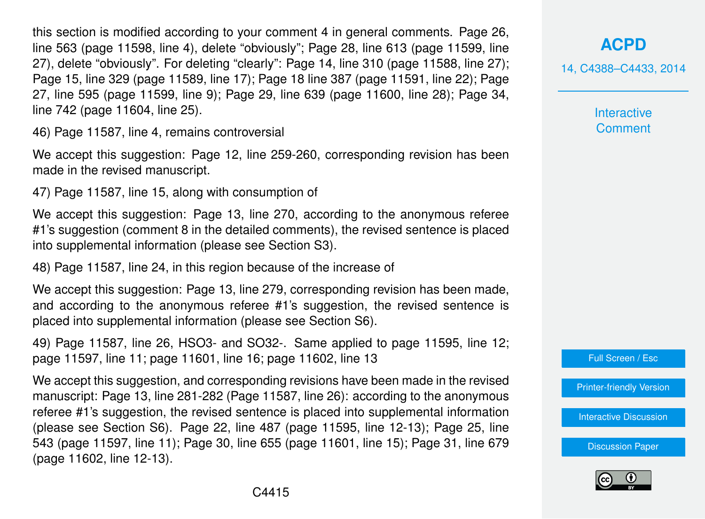this section is modified according to your comment 4 in general comments. Page 26, line 563 (page 11598, line 4), delete "obviously"; Page 28, line 613 (page 11599, line 27), delete "obviously". For deleting "clearly": Page 14, line 310 (page 11588, line 27); Page 15, line 329 (page 11589, line 17); Page 18 line 387 (page 11591, line 22); Page 27, line 595 (page 11599, line 9); Page 29, line 639 (page 11600, line 28); Page 34, line 742 (page 11604, line 25).

46) Page 11587, line 4, remains controversial

We accept this suggestion: Page 12, line 259-260, corresponding revision has been made in the revised manuscript.

47) Page 11587, line 15, along with consumption of

We accept this suggestion: Page 13, line 270, according to the anonymous referee #1's suggestion (comment 8 in the detailed comments), the revised sentence is placed into supplemental information (please see Section S3).

48) Page 11587, line 24, in this region because of the increase of

We accept this suggestion: Page 13, line 279, corresponding revision has been made, and according to the anonymous referee #1's suggestion, the revised sentence is placed into supplemental information (please see Section S6).

49) Page 11587, line 26, HSO3- and SO32-. Same applied to page 11595, line 12; page 11597, line 11; page 11601, line 16; page 11602, line 13

We accept this suggestion, and corresponding revisions have been made in the revised manuscript: Page 13, line 281-282 (Page 11587, line 26): according to the anonymous referee #1's suggestion, the revised sentence is placed into supplemental information (please see Section S6). Page 22, line 487 (page 11595, line 12-13); Page 25, line 543 (page 11597, line 11); Page 30, line 655 (page 11601, line 15); Page 31, line 679 (page 11602, line 12-13).

14, C4388–C4433, 2014

**Interactive Comment** 



[Printer-friendly Version](http://www.atmos-chem-phys-discuss.net/14/C4388/2014/acpd-14-C4388-2014-print.pdf)

[Interactive Discussion](http://www.atmos-chem-phys-discuss.net/14/11577/2014/acpd-14-11577-2014-discussion.html)

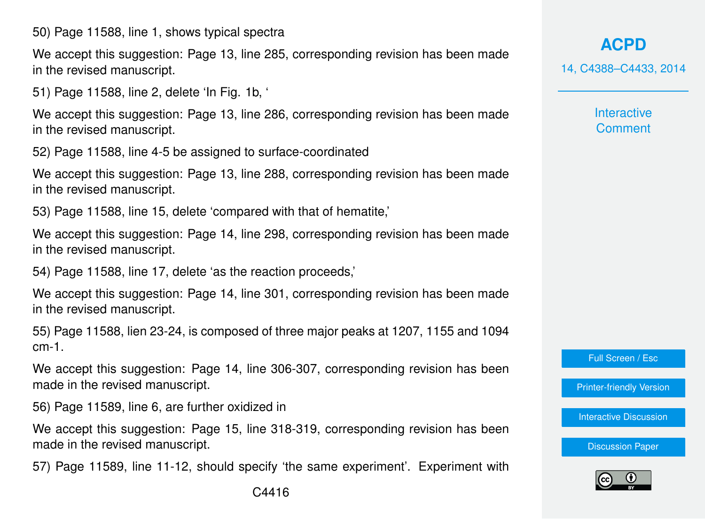50) Page 11588, line 1, shows typical spectra

We accept this suggestion: Page 13, line 285, corresponding revision has been made in the revised manuscript.

51) Page 11588, line 2, delete 'In Fig. 1b, '

We accept this suggestion: Page 13, line 286, corresponding revision has been made in the revised manuscript.

52) Page 11588, line 4-5 be assigned to surface-coordinated

We accept this suggestion: Page 13, line 288, corresponding revision has been made in the revised manuscript.

53) Page 11588, line 15, delete 'compared with that of hematite,'

We accept this suggestion: Page 14, line 298, corresponding revision has been made in the revised manuscript.

54) Page 11588, line 17, delete 'as the reaction proceeds,'

We accept this suggestion: Page 14, line 301, corresponding revision has been made in the revised manuscript.

55) Page 11588, lien 23-24, is composed of three major peaks at 1207, 1155 and 1094 cm-1.

We accept this suggestion: Page 14, line 306-307, corresponding revision has been made in the revised manuscript.

56) Page 11589, line 6, are further oxidized in

We accept this suggestion: Page 15, line 318-319, corresponding revision has been made in the revised manuscript.

57) Page 11589, line 11-12, should specify 'the same experiment'. Experiment with

**[ACPD](http://www.atmos-chem-phys-discuss.net)** 14, C4388–C4433, 2014

> **Interactive Comment**

Full Screen / Esc

[Printer-friendly Version](http://www.atmos-chem-phys-discuss.net/14/C4388/2014/acpd-14-C4388-2014-print.pdf)

[Interactive Discussion](http://www.atmos-chem-phys-discuss.net/14/11577/2014/acpd-14-11577-2014-discussion.html)

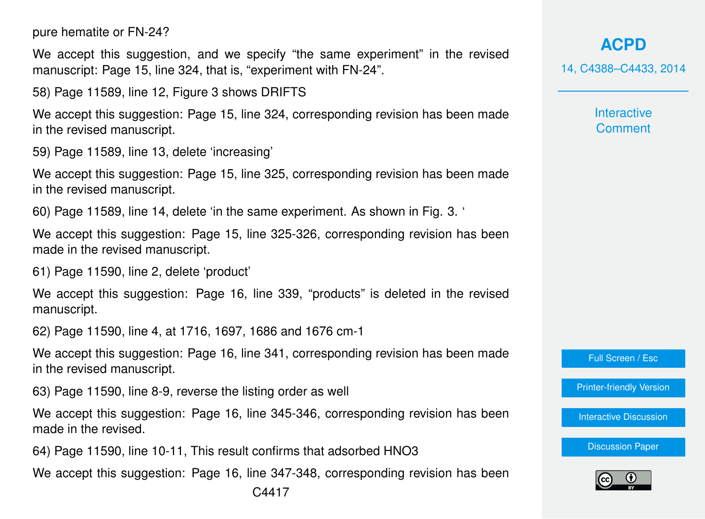pure hematite or FN-24?

We accept this suggestion, and we specify "the same experiment" in the revised manuscript: Page 15, line 324, that is, "experiment with FN-24".

58) Page 11589, line 12, Figure 3 shows DRIFTS

We accept this suggestion: Page 15, line 324, corresponding revision has been made in the revised manuscript.

59) Page 11589, line 13, delete 'increasing'

We accept this suggestion: Page 15, line 325, corresponding revision has been made in the revised manuscript.

60) Page 11589, line 14, delete 'in the same experiment. As shown in Fig. 3. '

We accept this suggestion: Page 15, line 325-326, corresponding revision has been made in the revised manuscript.

61) Page 11590, line 2, delete 'product'

We accept this suggestion: Page 16, line 339, "products" is deleted in the revised manuscript.

62) Page 11590, line 4, at 1716, 1697, 1686 and 1676 cm-1

We accept this suggestion: Page 16, line 341, corresponding revision has been made in the revised manuscript.

63) Page 11590, line 8-9, reverse the listing order as well

We accept this suggestion: Page 16, line 345-346, corresponding revision has been made in the revised.

64) Page 11590, line 10-11, This result confirms that adsorbed HNO3

We accept this suggestion: Page 16, line 347-348, corresponding revision has been

**[ACPD](http://www.atmos-chem-phys-discuss.net)**

14, C4388–C4433, 2014

**Interactive Comment** 

Full Screen / Esc

[Printer-friendly Version](http://www.atmos-chem-phys-discuss.net/14/C4388/2014/acpd-14-C4388-2014-print.pdf)

[Interactive Discussion](http://www.atmos-chem-phys-discuss.net/14/11577/2014/acpd-14-11577-2014-discussion.html)

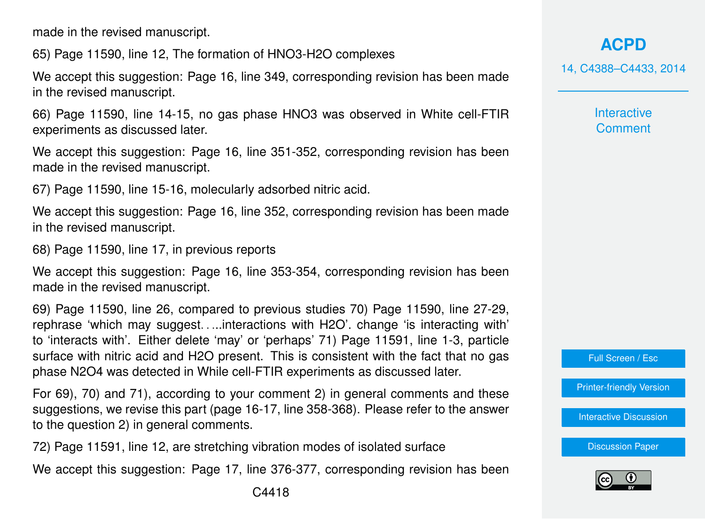made in the revised manuscript.

65) Page 11590, line 12, The formation of HNO3-H2O complexes

We accept this suggestion: Page 16, line 349, corresponding revision has been made in the revised manuscript.

66) Page 11590, line 14-15, no gas phase HNO3 was observed in White cell-FTIR experiments as discussed later.

We accept this suggestion: Page 16, line 351-352, corresponding revision has been made in the revised manuscript.

67) Page 11590, line 15-16, molecularly adsorbed nitric acid.

We accept this suggestion: Page 16, line 352, corresponding revision has been made in the revised manuscript.

68) Page 11590, line 17, in previous reports

We accept this suggestion: Page 16, line 353-354, corresponding revision has been made in the revised manuscript.

69) Page 11590, line 26, compared to previous studies 70) Page 11590, line 27-29, rephrase 'which may suggest. . ...interactions with H2O'. change 'is interacting with' to 'interacts with'. Either delete 'may' or 'perhaps' 71) Page 11591, line 1-3, particle surface with nitric acid and H2O present. This is consistent with the fact that no gas phase N2O4 was detected in While cell-FTIR experiments as discussed later.

For 69), 70) and 71), according to your comment 2) in general comments and these suggestions, we revise this part (page 16-17, line 358-368). Please refer to the answer to the question 2) in general comments.

72) Page 11591, line 12, are stretching vibration modes of isolated surface

We accept this suggestion: Page 17, line 376-377, corresponding revision has been

14, C4388–C4433, 2014

**Interactive Comment** 



[Printer-friendly Version](http://www.atmos-chem-phys-discuss.net/14/C4388/2014/acpd-14-C4388-2014-print.pdf)

[Interactive Discussion](http://www.atmos-chem-phys-discuss.net/14/11577/2014/acpd-14-11577-2014-discussion.html)

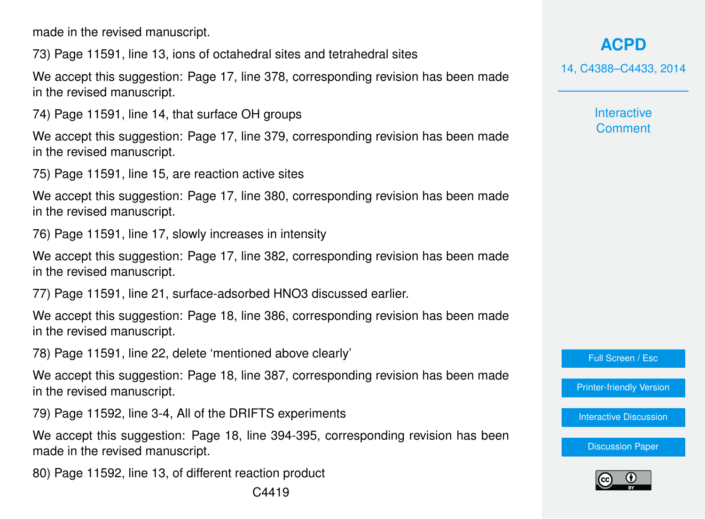made in the revised manuscript.

73) Page 11591, line 13, ions of octahedral sites and tetrahedral sites

We accept this suggestion: Page 17, line 378, corresponding revision has been made in the revised manuscript.

74) Page 11591, line 14, that surface OH groups

We accept this suggestion: Page 17, line 379, corresponding revision has been made in the revised manuscript.

75) Page 11591, line 15, are reaction active sites

We accept this suggestion: Page 17, line 380, corresponding revision has been made in the revised manuscript.

76) Page 11591, line 17, slowly increases in intensity

We accept this suggestion: Page 17, line 382, corresponding revision has been made in the revised manuscript.

77) Page 11591, line 21, surface-adsorbed HNO3 discussed earlier.

We accept this suggestion: Page 18, line 386, corresponding revision has been made in the revised manuscript.

78) Page 11591, line 22, delete 'mentioned above clearly'

We accept this suggestion: Page 18, line 387, corresponding revision has been made in the revised manuscript.

79) Page 11592, line 3-4, All of the DRIFTS experiments

We accept this suggestion: Page 18, line 394-395, corresponding revision has been made in the revised manuscript.

80) Page 11592, line 13, of different reaction product

14, C4388–C4433, 2014

**Interactive Comment** 

Full Screen / Esc

[Printer-friendly Version](http://www.atmos-chem-phys-discuss.net/14/C4388/2014/acpd-14-C4388-2014-print.pdf)

[Interactive Discussion](http://www.atmos-chem-phys-discuss.net/14/11577/2014/acpd-14-11577-2014-discussion.html)

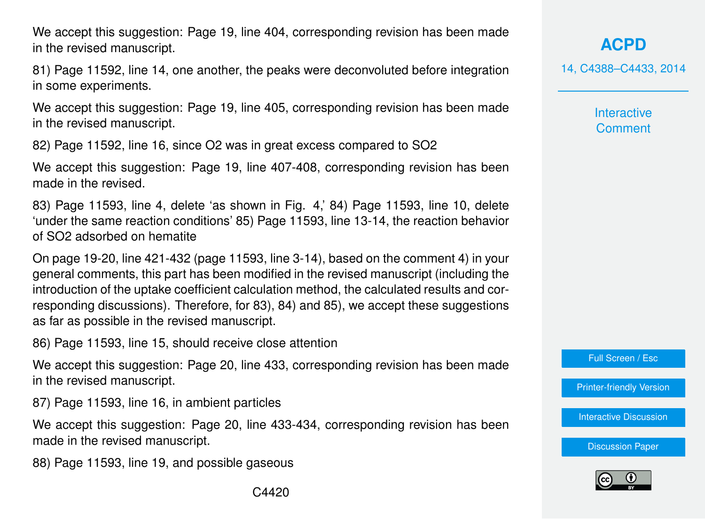We accept this suggestion: Page 19, line 404, corresponding revision has been made in the revised manuscript.

81) Page 11592, line 14, one another, the peaks were deconvoluted before integration in some experiments.

We accept this suggestion: Page 19, line 405, corresponding revision has been made in the revised manuscript.

82) Page 11592, line 16, since O2 was in great excess compared to SO2

We accept this suggestion: Page 19, line 407-408, corresponding revision has been made in the revised.

83) Page 11593, line 4, delete 'as shown in Fig. 4,' 84) Page 11593, line 10, delete 'under the same reaction conditions' 85) Page 11593, line 13-14, the reaction behavior of SO2 adsorbed on hematite

On page 19-20, line 421-432 (page 11593, line 3-14), based on the comment 4) in your general comments, this part has been modified in the revised manuscript (including the introduction of the uptake coefficient calculation method, the calculated results and corresponding discussions). Therefore, for 83), 84) and 85), we accept these suggestions as far as possible in the revised manuscript.

86) Page 11593, line 15, should receive close attention

We accept this suggestion: Page 20, line 433, corresponding revision has been made in the revised manuscript.

87) Page 11593, line 16, in ambient particles

We accept this suggestion: Page 20, line 433-434, corresponding revision has been made in the revised manuscript.

88) Page 11593, line 19, and possible gaseous

**[ACPD](http://www.atmos-chem-phys-discuss.net)**

14, C4388–C4433, 2014

**Interactive Comment** 

Full Screen / Esc

[Printer-friendly Version](http://www.atmos-chem-phys-discuss.net/14/C4388/2014/acpd-14-C4388-2014-print.pdf)

[Interactive Discussion](http://www.atmos-chem-phys-discuss.net/14/11577/2014/acpd-14-11577-2014-discussion.html)

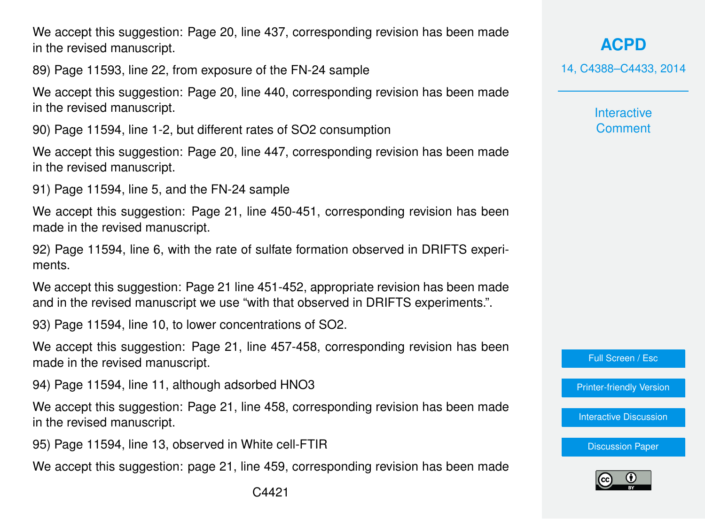We accept this suggestion: Page 20, line 437, corresponding revision has been made in the revised manuscript.

89) Page 11593, line 22, from exposure of the FN-24 sample

We accept this suggestion: Page 20, line 440, corresponding revision has been made in the revised manuscript.

90) Page 11594, line 1-2, but different rates of SO2 consumption

We accept this suggestion: Page 20, line 447, corresponding revision has been made in the revised manuscript.

91) Page 11594, line 5, and the FN-24 sample

We accept this suggestion: Page 21, line 450-451, corresponding revision has been made in the revised manuscript.

92) Page 11594, line 6, with the rate of sulfate formation observed in DRIFTS experiments.

We accept this suggestion: Page 21 line 451-452, appropriate revision has been made and in the revised manuscript we use "with that observed in DRIFTS experiments.".

93) Page 11594, line 10, to lower concentrations of SO2.

We accept this suggestion: Page 21, line 457-458, corresponding revision has been made in the revised manuscript.

94) Page 11594, line 11, although adsorbed HNO3

We accept this suggestion: Page 21, line 458, corresponding revision has been made in the revised manuscript.

95) Page 11594, line 13, observed in White cell-FTIR

We accept this suggestion: page 21, line 459, corresponding revision has been made

**[ACPD](http://www.atmos-chem-phys-discuss.net)** 14, C4388–C4433, 2014

> **Interactive Comment**

Full Screen / Esc

[Printer-friendly Version](http://www.atmos-chem-phys-discuss.net/14/C4388/2014/acpd-14-C4388-2014-print.pdf)

[Interactive Discussion](http://www.atmos-chem-phys-discuss.net/14/11577/2014/acpd-14-11577-2014-discussion.html)

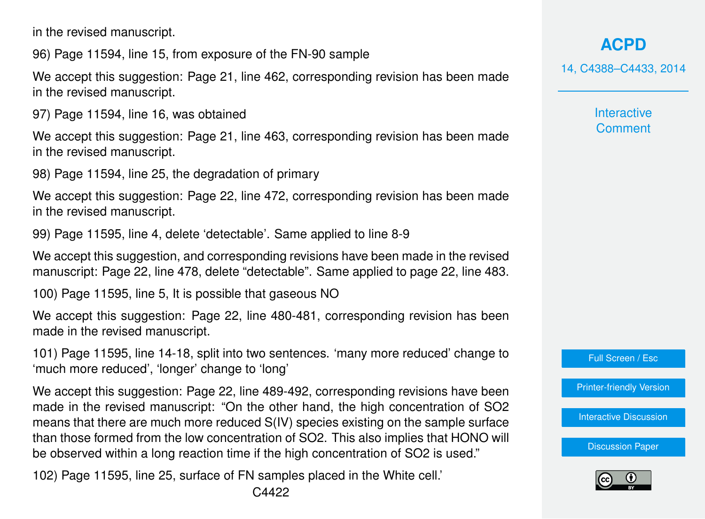in the revised manuscript.

96) Page 11594, line 15, from exposure of the FN-90 sample

We accept this suggestion: Page 21, line 462, corresponding revision has been made in the revised manuscript.

97) Page 11594, line 16, was obtained

We accept this suggestion: Page 21, line 463, corresponding revision has been made in the revised manuscript.

98) Page 11594, line 25, the degradation of primary

We accept this suggestion: Page 22, line 472, corresponding revision has been made in the revised manuscript.

99) Page 11595, line 4, delete 'detectable'. Same applied to line 8-9

We accept this suggestion, and corresponding revisions have been made in the revised manuscript: Page 22, line 478, delete "detectable". Same applied to page 22, line 483.

100) Page 11595, line 5, It is possible that gaseous NO

We accept this suggestion: Page 22, line 480-481, corresponding revision has been made in the revised manuscript.

101) Page 11595, line 14-18, split into two sentences. 'many more reduced' change to 'much more reduced', 'longer' change to 'long'

We accept this suggestion: Page 22, line 489-492, corresponding revisions have been made in the revised manuscript: "On the other hand, the high concentration of SO2 means that there are much more reduced S(IV) species existing on the sample surface than those formed from the low concentration of SO2. This also implies that HONO will be observed within a long reaction time if the high concentration of SO2 is used."

102) Page 11595, line 25, surface of FN samples placed in the White cell.'

# **[ACPD](http://www.atmos-chem-phys-discuss.net)**

14, C4388–C4433, 2014

**Interactive Comment** 



[Printer-friendly Version](http://www.atmos-chem-phys-discuss.net/14/C4388/2014/acpd-14-C4388-2014-print.pdf)

[Interactive Discussion](http://www.atmos-chem-phys-discuss.net/14/11577/2014/acpd-14-11577-2014-discussion.html)

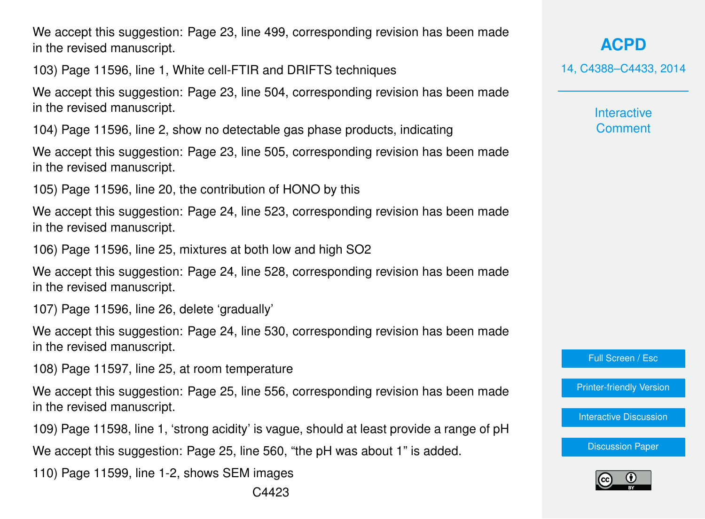We accept this suggestion: Page 23, line 499, corresponding revision has been made in the revised manuscript.

103) Page 11596, line 1, White cell-FTIR and DRIFTS techniques

We accept this suggestion: Page 23, line 504, corresponding revision has been made in the revised manuscript.

104) Page 11596, line 2, show no detectable gas phase products, indicating

We accept this suggestion: Page 23, line 505, corresponding revision has been made in the revised manuscript.

105) Page 11596, line 20, the contribution of HONO by this

We accept this suggestion: Page 24, line 523, corresponding revision has been made in the revised manuscript.

106) Page 11596, line 25, mixtures at both low and high SO2

We accept this suggestion: Page 24, line 528, corresponding revision has been made in the revised manuscript.

107) Page 11596, line 26, delete 'gradually'

We accept this suggestion: Page 24, line 530, corresponding revision has been made in the revised manuscript.

108) Page 11597, line 25, at room temperature

We accept this suggestion: Page 25, line 556, corresponding revision has been made in the revised manuscript.

109) Page 11598, line 1, 'strong acidity' is vague, should at least provide a range of pH

We accept this suggestion: Page 25, line 560, "the pH was about 1" is added.

110) Page 11599, line 1-2, shows SEM images

**[ACPD](http://www.atmos-chem-phys-discuss.net)**

14, C4388–C4433, 2014

**Interactive Comment** 

Full Screen / Esc

[Printer-friendly Version](http://www.atmos-chem-phys-discuss.net/14/C4388/2014/acpd-14-C4388-2014-print.pdf)

[Interactive Discussion](http://www.atmos-chem-phys-discuss.net/14/11577/2014/acpd-14-11577-2014-discussion.html)

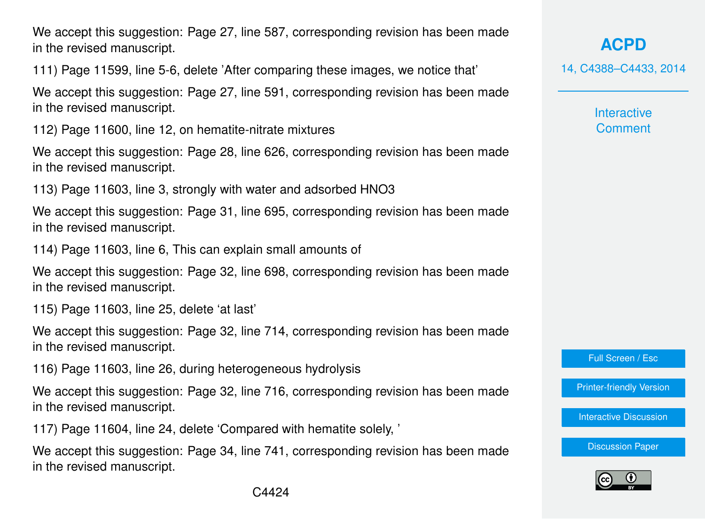We accept this suggestion: Page 27, line 587, corresponding revision has been made in the revised manuscript.

111) Page 11599, line 5-6, delete 'After comparing these images, we notice that'

We accept this suggestion: Page 27, line 591, corresponding revision has been made in the revised manuscript.

112) Page 11600, line 12, on hematite-nitrate mixtures

We accept this suggestion: Page 28, line 626, corresponding revision has been made in the revised manuscript.

113) Page 11603, line 3, strongly with water and adsorbed HNO3

We accept this suggestion: Page 31, line 695, corresponding revision has been made in the revised manuscript.

114) Page 11603, line 6, This can explain small amounts of

We accept this suggestion: Page 32, line 698, corresponding revision has been made in the revised manuscript.

115) Page 11603, line 25, delete 'at last'

We accept this suggestion: Page 32, line 714, corresponding revision has been made in the revised manuscript.

116) Page 11603, line 26, during heterogeneous hydrolysis

We accept this suggestion: Page 32, line 716, corresponding revision has been made in the revised manuscript.

117) Page 11604, line 24, delete 'Compared with hematite solely, '

We accept this suggestion: Page 34, line 741, corresponding revision has been made in the revised manuscript.

**[ACPD](http://www.atmos-chem-phys-discuss.net)**

14, C4388–C4433, 2014

**Interactive Comment** 

Full Screen / Esc

[Printer-friendly Version](http://www.atmos-chem-phys-discuss.net/14/C4388/2014/acpd-14-C4388-2014-print.pdf)

[Interactive Discussion](http://www.atmos-chem-phys-discuss.net/14/11577/2014/acpd-14-11577-2014-discussion.html)

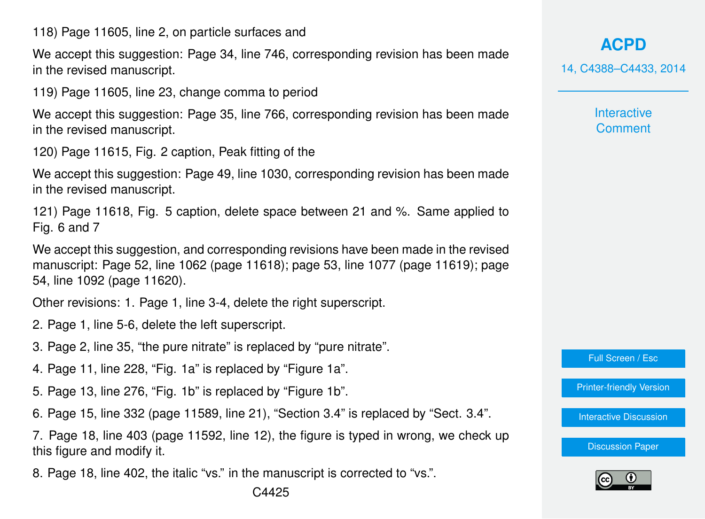118) Page 11605, line 2, on particle surfaces and

We accept this suggestion: Page 34, line 746, corresponding revision has been made in the revised manuscript.

119) Page 11605, line 23, change comma to period

We accept this suggestion: Page 35, line 766, corresponding revision has been made in the revised manuscript.

120) Page 11615, Fig. 2 caption, Peak fitting of the

We accept this suggestion: Page 49, line 1030, corresponding revision has been made in the revised manuscript.

121) Page 11618, Fig. 5 caption, delete space between 21 and %. Same applied to Fig. 6 and 7

We accept this suggestion, and corresponding revisions have been made in the revised manuscript: Page 52, line 1062 (page 11618); page 53, line 1077 (page 11619); page 54, line 1092 (page 11620).

Other revisions: 1. Page 1, line 3-4, delete the right superscript.

- 2. Page 1, line 5-6, delete the left superscript.
- 3. Page 2, line 35, "the pure nitrate" is replaced by "pure nitrate".
- 4. Page 11, line 228, "Fig. 1a" is replaced by "Figure 1a".
- 5. Page 13, line 276, "Fig. 1b" is replaced by "Figure 1b".
- 6. Page 15, line 332 (page 11589, line 21), "Section 3.4" is replaced by "Sect. 3.4".

7. Page 18, line 403 (page 11592, line 12), the figure is typed in wrong, we check up this figure and modify it.

8. Page 18, line 402, the italic "vs." in the manuscript is corrected to "vs.".

**[ACPD](http://www.atmos-chem-phys-discuss.net)** 14, C4388–C4433, 2014

> **Interactive Comment**

Full Screen / Esc

[Printer-friendly Version](http://www.atmos-chem-phys-discuss.net/14/C4388/2014/acpd-14-C4388-2014-print.pdf)

[Interactive Discussion](http://www.atmos-chem-phys-discuss.net/14/11577/2014/acpd-14-11577-2014-discussion.html)

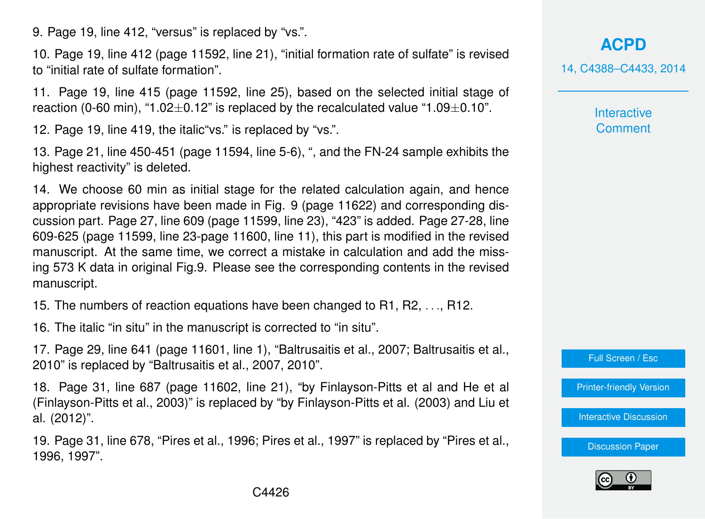9. Page 19, line 412, "versus" is replaced by "vs.".

10. Page 19, line 412 (page 11592, line 21), "initial formation rate of sulfate" is revised to "initial rate of sulfate formation".

11. Page 19, line 415 (page 11592, line 25), based on the selected initial stage of reaction (0-60 min), "1.02 $\pm$ 0.12" is replaced by the recalculated value "1.09 $\pm$ 0.10".

12. Page 19, line 419, the italic"vs." is replaced by "vs.".

13. Page 21, line 450-451 (page 11594, line 5-6), ", and the FN-24 sample exhibits the highest reactivity" is deleted.

14. We choose 60 min as initial stage for the related calculation again, and hence appropriate revisions have been made in Fig. 9 (page 11622) and corresponding discussion part. Page 27, line 609 (page 11599, line 23), "423" is added. Page 27-28, line 609-625 (page 11599, line 23-page 11600, line 11), this part is modified in the revised manuscript. At the same time, we correct a mistake in calculation and add the missing 573 K data in original Fig.9. Please see the corresponding contents in the revised manuscript.

15. The numbers of reaction equations have been changed to R1, R2, . . ., R12.

16. The italic "in situ" in the manuscript is corrected to "in situ".

17. Page 29, line 641 (page 11601, line 1), "Baltrusaitis et al., 2007; Baltrusaitis et al., 2010" is replaced by "Baltrusaitis et al., 2007, 2010".

18. Page 31, line 687 (page 11602, line 21), "by Finlayson-Pitts et al and He et al (Finlayson-Pitts et al., 2003)" is replaced by "by Finlayson-Pitts et al. (2003) and Liu et al. (2012)".

19. Page 31, line 678, "Pires et al., 1996; Pires et al., 1997" is replaced by "Pires et al., 1996, 1997".

**[ACPD](http://www.atmos-chem-phys-discuss.net)** 14, C4388–C4433, 2014

> **Interactive Comment**

Full Screen / Esc

[Printer-friendly Version](http://www.atmos-chem-phys-discuss.net/14/C4388/2014/acpd-14-C4388-2014-print.pdf)

[Interactive Discussion](http://www.atmos-chem-phys-discuss.net/14/11577/2014/acpd-14-11577-2014-discussion.html)

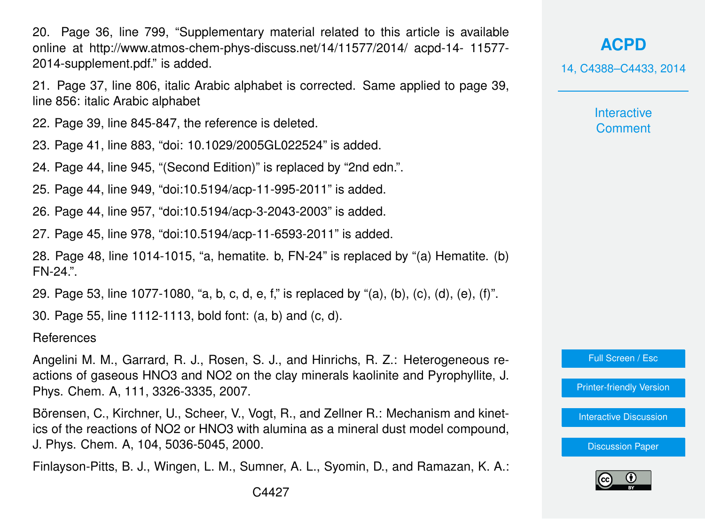20. Page 36, line 799, "Supplementary material related to this article is available online at http://www.atmos-chem-phys-discuss.net/14/11577/2014/ acpd-14- 11577- 2014-supplement.pdf." is added.

21. Page 37, line 806, italic Arabic alphabet is corrected. Same applied to page 39, line 856: italic Arabic alphabet

22. Page 39, line 845-847, the reference is deleted.

23. Page 41, line 883, "doi: 10.1029/2005GL022524" is added.

24. Page 44, line 945, "(Second Edition)" is replaced by "2nd edn.".

25. Page 44, line 949, "doi:10.5194/acp-11-995-2011" is added.

26. Page 44, line 957, "doi:10.5194/acp-3-2043-2003" is added.

27. Page 45, line 978, "doi:10.5194/acp-11-6593-2011" is added.

28. Page 48, line 1014-1015, "a, hematite. b, FN-24" is replaced by "(a) Hematite. (b) FN-24.".

29. Page 53, line 1077-1080, "a, b, c, d, e, f," is replaced by "(a), (b), (c), (d), (e), (f)".

30. Page 55, line 1112-1113, bold font: (a, b) and (c, d).

**References** 

Angelini M. M., Garrard, R. J., Rosen, S. J., and Hinrichs, R. Z.: Heterogeneous reactions of gaseous HNO3 and NO2 on the clay minerals kaolinite and Pyrophyllite, J. Phys. Chem. A, 111, 3326-3335, 2007.

Börensen, C., Kirchner, U., Scheer, V., Vogt, R., and Zellner R.: Mechanism and kinetics of the reactions of NO2 or HNO3 with alumina as a mineral dust model compound, J. Phys. Chem. A, 104, 5036-5045, 2000.

Finlayson-Pitts, B. J., Wingen, L. M., Sumner, A. L., Syomin, D., and Ramazan, K. A.:

14, C4388–C4433, 2014

**Interactive Comment** 

Full Screen / Esc

[Printer-friendly Version](http://www.atmos-chem-phys-discuss.net/14/C4388/2014/acpd-14-C4388-2014-print.pdf)

[Interactive Discussion](http://www.atmos-chem-phys-discuss.net/14/11577/2014/acpd-14-11577-2014-discussion.html)

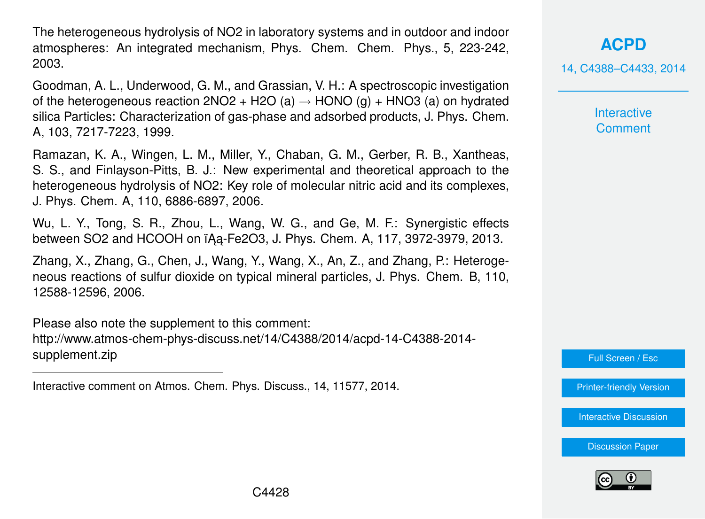The heterogeneous hydrolysis of NO2 in laboratory systems and in outdoor and indoor atmospheres: An integrated mechanism, Phys. Chem. Chem. Phys., 5, 223-242, 2003.

Goodman, A. L., Underwood, G. M., and Grassian, V. H.: A spectroscopic investigation of the heterogeneous reaction  $2NO2 + H2O(a) \rightarrow HONO(q) + HNO3(a)$  on hydrated silica Particles: Characterization of gas-phase and adsorbed products, J. Phys. Chem. A, 103, 7217-7223, 1999.

Ramazan, K. A., Wingen, L. M., Miller, Y., Chaban, G. M., Gerber, R. B., Xantheas, S. S., and Finlayson-Pitts, B. J.: New experimental and theoretical approach to the heterogeneous hydrolysis of NO2: Key role of molecular nitric acid and its complexes, J. Phys. Chem. A, 110, 6886-6897, 2006.

Wu, L. Y., Tong, S. R., Zhou, L., Wang, W. G., and Ge, M. F.: Synergistic effects between SO2 and HCOOH on ïAa-Fe2O3, J. Phys. Chem. A, 117, 3972-3979, 2013.

Zhang, X., Zhang, G., Chen, J., Wang, Y., Wang, X., An, Z., and Zhang, P.: Heterogeneous reactions of sulfur dioxide on typical mineral particles, J. Phys. Chem. B, 110, 12588-12596, 2006.

Please also note the supplement to this comment: [http://www.atmos-chem-phys-discuss.net/14/C4388/2014/acpd-14-C4388-2014](http://www.atmos-chem-phys-discuss.net/14/C4388/2014/acpd-14-C4388-2014-supplement.zip) [supplement.zip](http://www.atmos-chem-phys-discuss.net/14/C4388/2014/acpd-14-C4388-2014-supplement.zip)

Interactive comment on Atmos. Chem. Phys. Discuss., 14, 11577, 2014.

**[ACPD](http://www.atmos-chem-phys-discuss.net)**

14, C4388–C4433, 2014

**Interactive Comment** 

Full Screen / Esc

[Printer-friendly Version](http://www.atmos-chem-phys-discuss.net/14/C4388/2014/acpd-14-C4388-2014-print.pdf)

[Interactive Discussion](http://www.atmos-chem-phys-discuss.net/14/11577/2014/acpd-14-11577-2014-discussion.html)

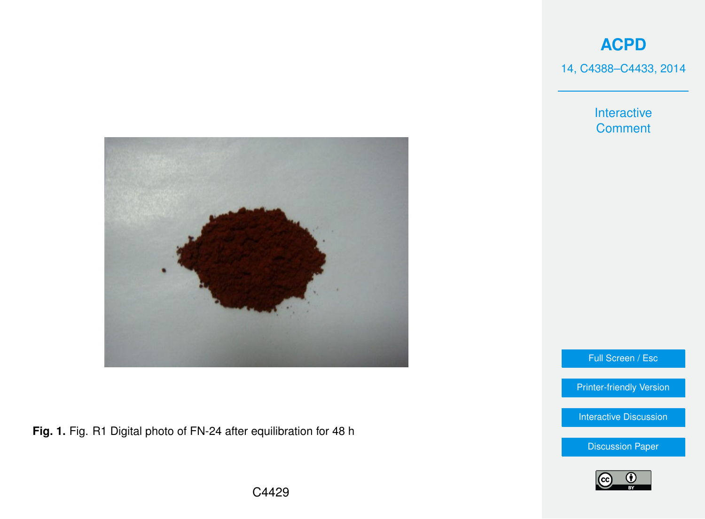14, C4388–C4433, 2014

Interactive **Comment** 



**Fig. 1.** Fig. R1 Digital photo of FN-24 after equilibration for 48 h

Full Screen / Esc

[Printer-friendly Version](http://www.atmos-chem-phys-discuss.net/14/C4388/2014/acpd-14-C4388-2014-print.pdf)

[Interactive Discussion](http://www.atmos-chem-phys-discuss.net/14/11577/2014/acpd-14-11577-2014-discussion.html)

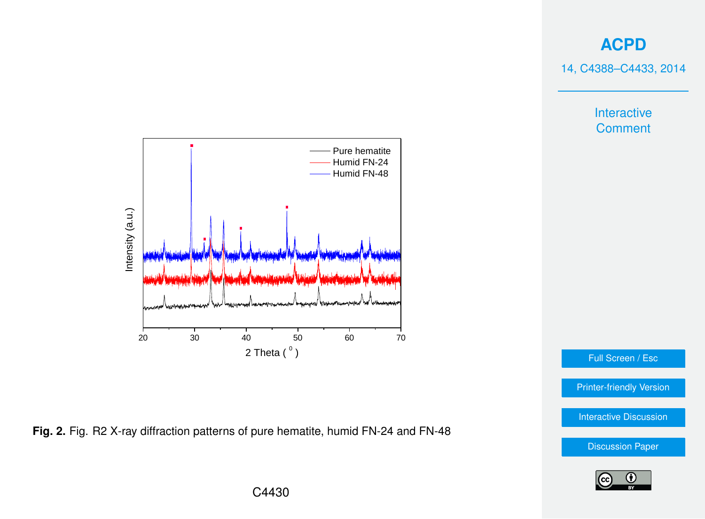14, C4388–C4433, 2014

Interactive **Comment** 





Full Screen / Esc

[Printer-friendly Version](http://www.atmos-chem-phys-discuss.net/14/C4388/2014/acpd-14-C4388-2014-print.pdf)

[Interactive Discussion](http://www.atmos-chem-phys-discuss.net/14/11577/2014/acpd-14-11577-2014-discussion.html)

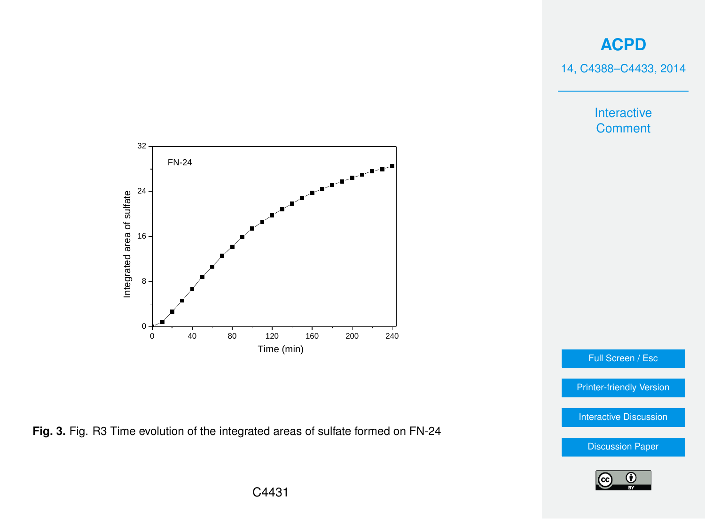14, C4388–C4433, 2014

Interactive **Comment** 



**Fig. 3.** Fig. R3 Time evolution of the integrated areas of sulfate formed on FN-24

[Interactive Discussion](http://www.atmos-chem-phys-discuss.net/14/11577/2014/acpd-14-11577-2014-discussion.html) [Discussion Paper](http://www.atmos-chem-phys-discuss.net/14/11577/2014/acpd-14-11577-2014.pdf)

Full Screen / Esc

[Printer-friendly Version](http://www.atmos-chem-phys-discuss.net/14/C4388/2014/acpd-14-C4388-2014-print.pdf)

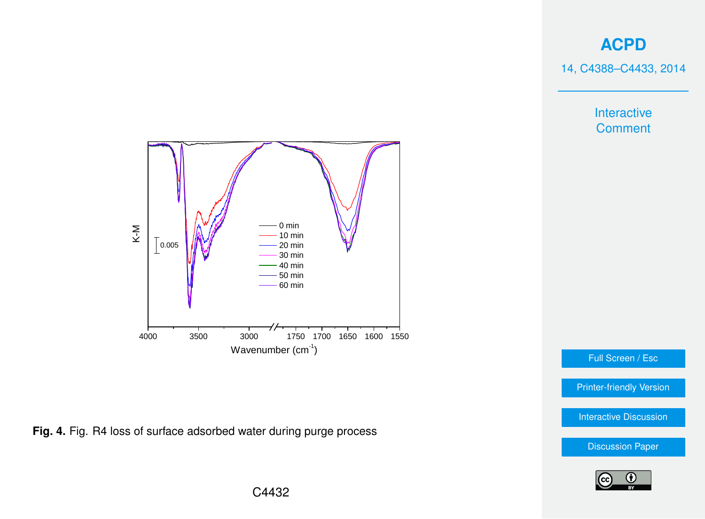14, C4388–C4433, 2014

Interactive **Comment** 



**Fig. 4.** Fig. R4 loss of surface adsorbed water during purge process

Full Screen / Esc

[Printer-friendly Version](http://www.atmos-chem-phys-discuss.net/14/C4388/2014/acpd-14-C4388-2014-print.pdf)

[Interactive Discussion](http://www.atmos-chem-phys-discuss.net/14/11577/2014/acpd-14-11577-2014-discussion.html)